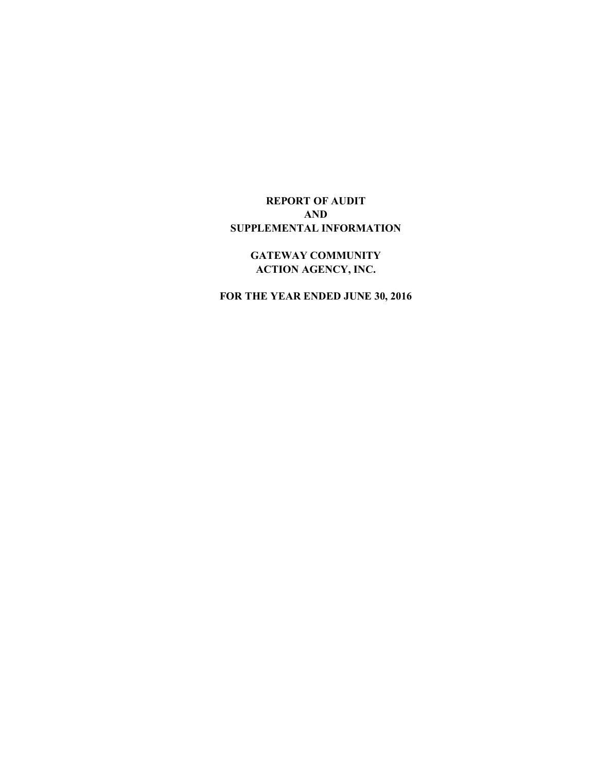### **REPORT OF AUDIT AND SUPPLEMENTAL INFORMATION**

**GATEWAY COMMUNITY ACTION AGENCY, INC.**

**FOR THE YEAR ENDED JUNE 30, 2016**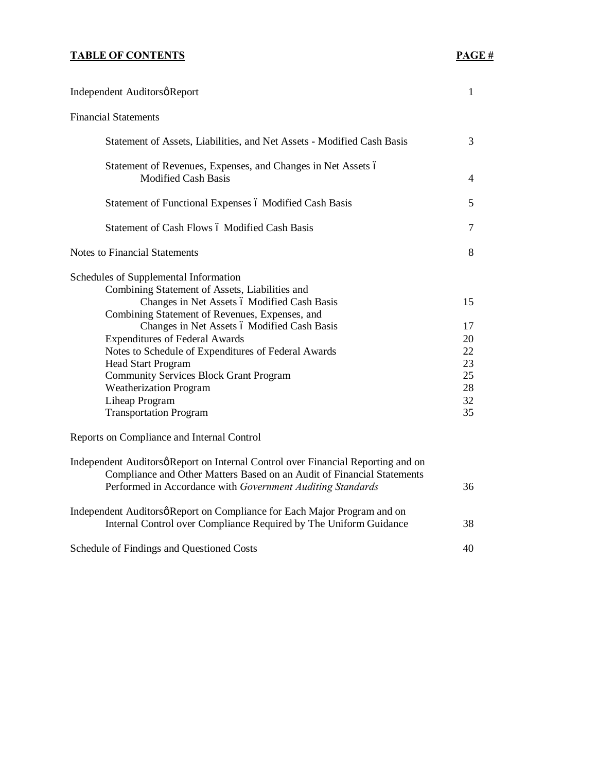## **TABLE OF CONTENTS PAGE #**

| Independent Auditorsø Report                                                                                                                                                                                                                                                                                                                                                                                                                                                                              | $\mathbf{1}$                                       |
|-----------------------------------------------------------------------------------------------------------------------------------------------------------------------------------------------------------------------------------------------------------------------------------------------------------------------------------------------------------------------------------------------------------------------------------------------------------------------------------------------------------|----------------------------------------------------|
| <b>Financial Statements</b>                                                                                                                                                                                                                                                                                                                                                                                                                                                                               |                                                    |
| Statement of Assets, Liabilities, and Net Assets - Modified Cash Basis                                                                                                                                                                                                                                                                                                                                                                                                                                    | 3                                                  |
| Statement of Revenues, Expenses, and Changes in Net Assets ó<br><b>Modified Cash Basis</b>                                                                                                                                                                                                                                                                                                                                                                                                                | $\overline{4}$                                     |
| Statement of Functional Expenses ó Modified Cash Basis                                                                                                                                                                                                                                                                                                                                                                                                                                                    | 5                                                  |
| Statement of Cash Flows ó Modified Cash Basis                                                                                                                                                                                                                                                                                                                                                                                                                                                             | 7                                                  |
| <b>Notes to Financial Statements</b>                                                                                                                                                                                                                                                                                                                                                                                                                                                                      | 8                                                  |
| Schedules of Supplemental Information<br>Combining Statement of Assets, Liabilities and<br>Changes in Net Assets ó Modified Cash Basis<br>Combining Statement of Revenues, Expenses, and<br>Changes in Net Assets ó Modified Cash Basis<br><b>Expenditures of Federal Awards</b><br>Notes to Schedule of Expenditures of Federal Awards<br><b>Head Start Program</b><br><b>Community Services Block Grant Program</b><br><b>Weatherization Program</b><br>Liheap Program<br><b>Transportation Program</b> | 15<br>17<br>20<br>22<br>23<br>25<br>28<br>32<br>35 |
| Reports on Compliance and Internal Control                                                                                                                                                                                                                                                                                                                                                                                                                                                                |                                                    |
| Independent AuditorsøReport on Internal Control over Financial Reporting and on<br>Compliance and Other Matters Based on an Audit of Financial Statements<br>Performed in Accordance with Government Auditing Standards                                                                                                                                                                                                                                                                                   | 36                                                 |
| Independent Auditorsø Report on Compliance for Each Major Program and on<br>Internal Control over Compliance Required by The Uniform Guidance                                                                                                                                                                                                                                                                                                                                                             | 38                                                 |
| Schedule of Findings and Questioned Costs                                                                                                                                                                                                                                                                                                                                                                                                                                                                 | 40                                                 |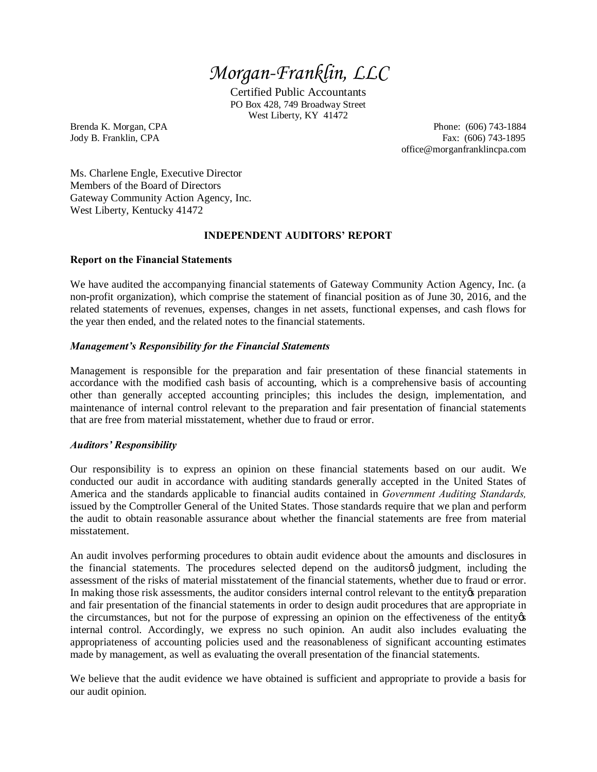# *Morgan-Franklin, LLC*

Certified Public Accountants PO Box 428, 749 Broadway Street West Liberty, KY 41472

Brenda K. Morgan, CPA Phone: (606) 743-1884 Jody B. Franklin, CPA Fax: (606) 743-1895 office@morganfranklincpa.com

Ms. Charlene Engle, Executive Director Members of the Board of Directors Gateway Community Action Agency, Inc. West Liberty, Kentucky 41472

### **INDEPENDENT AUDITORS' REPORT**

### **Report on the Financial Statements**

We have audited the accompanying financial statements of Gateway Community Action Agency, Inc. (a non-profit organization), which comprise the statement of financial position as of June 30, 2016, and the related statements of revenues, expenses, changes in net assets, functional expenses, and cash flows for the year then ended, and the related notes to the financial statements.

### *Management's Responsibility for the Financial Statements*

Management is responsible for the preparation and fair presentation of these financial statements in accordance with the modified cash basis of accounting, which is a comprehensive basis of accounting other than generally accepted accounting principles; this includes the design, implementation, and maintenance of internal control relevant to the preparation and fair presentation of financial statements that are free from material misstatement, whether due to fraud or error.

#### *Auditors' Responsibility*

Our responsibility is to express an opinion on these financial statements based on our audit. We conducted our audit in accordance with auditing standards generally accepted in the United States of America and the standards applicable to financial audits contained in *Government Auditing Standards,*  issued by the Comptroller General of the United States. Those standards require that we plan and perform the audit to obtain reasonable assurance about whether the financial statements are free from material misstatement.

An audit involves performing procedures to obtain audit evidence about the amounts and disclosures in the financial statements. The procedures selected depend on the auditors  $\varphi$  judgment, including the assessment of the risks of material misstatement of the financial statements, whether due to fraud or error. In making those risk assessments, the auditor considers internal control relevant to the entity operaration and fair presentation of the financial statements in order to design audit procedures that are appropriate in the circumstances, but not for the purpose of expressing an opinion on the effectiveness of the entity's internal control. Accordingly, we express no such opinion. An audit also includes evaluating the appropriateness of accounting policies used and the reasonableness of significant accounting estimates made by management, as well as evaluating the overall presentation of the financial statements.

We believe that the audit evidence we have obtained is sufficient and appropriate to provide a basis for our audit opinion.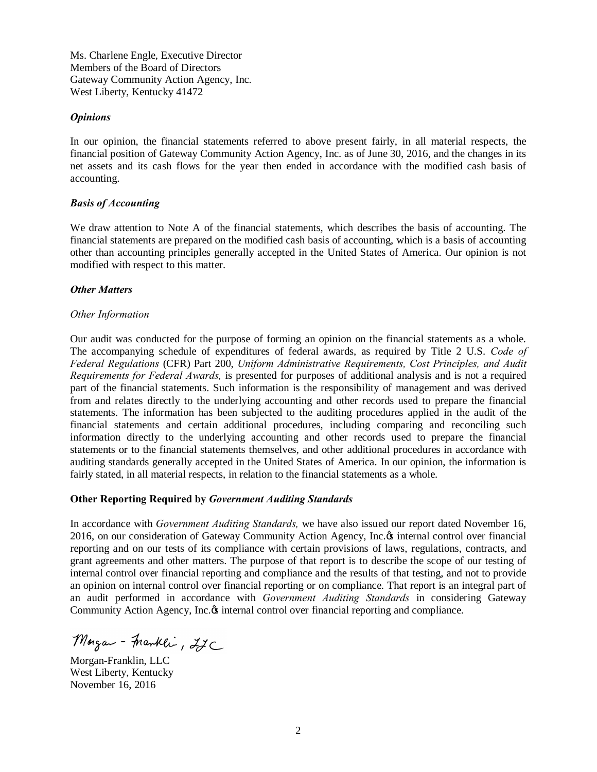Ms. Charlene Engle, Executive Director Members of the Board of Directors Gateway Community Action Agency, Inc. West Liberty, Kentucky 41472

#### *Opinions*

In our opinion, the financial statements referred to above present fairly, in all material respects, the financial position of Gateway Community Action Agency, Inc. as of June 30, 2016, and the changes in its net assets and its cash flows for the year then ended in accordance with the modified cash basis of accounting.

### *Basis of Accounting*

We draw attention to Note A of the financial statements, which describes the basis of accounting. The financial statements are prepared on the modified cash basis of accounting, which is a basis of accounting other than accounting principles generally accepted in the United States of America. Our opinion is not modified with respect to this matter.

#### *Other Matters*

#### *Other Information*

Our audit was conducted for the purpose of forming an opinion on the financial statements as a whole. The accompanying schedule of expenditures of federal awards, as required by Title 2 U.S. *Code of Federal Regulations* (CFR) Part 200, *Uniform Administrative Requirements, Cost Principles, and Audit Requirements for Federal Awards,* is presented for purposes of additional analysis and is not a required part of the financial statements. Such information is the responsibility of management and was derived from and relates directly to the underlying accounting and other records used to prepare the financial statements. The information has been subjected to the auditing procedures applied in the audit of the financial statements and certain additional procedures, including comparing and reconciling such information directly to the underlying accounting and other records used to prepare the financial statements or to the financial statements themselves, and other additional procedures in accordance with auditing standards generally accepted in the United States of America. In our opinion, the information is fairly stated, in all material respects, in relation to the financial statements as a whole.

#### **Other Reporting Required by** *Government Auditing Standards*

In accordance with *Government Auditing Standards,* we have also issued our report dated November 16, 2016, on our consideration of Gateway Community Action Agency, Inc. $\alpha$  internal control over financial reporting and on our tests of its compliance with certain provisions of laws, regulations, contracts, and grant agreements and other matters. The purpose of that report is to describe the scope of our testing of internal control over financial reporting and compliance and the results of that testing, and not to provide an opinion on internal control over financial reporting or on compliance. That report is an integral part of an audit performed in accordance with *Government Auditing Standards* in considering Gateway Community Action Agency, Inc. $\alpha$  internal control over financial reporting and compliance.

Morgan - Frankli, IIC

Morgan-Franklin, LLC West Liberty, Kentucky November 16, 2016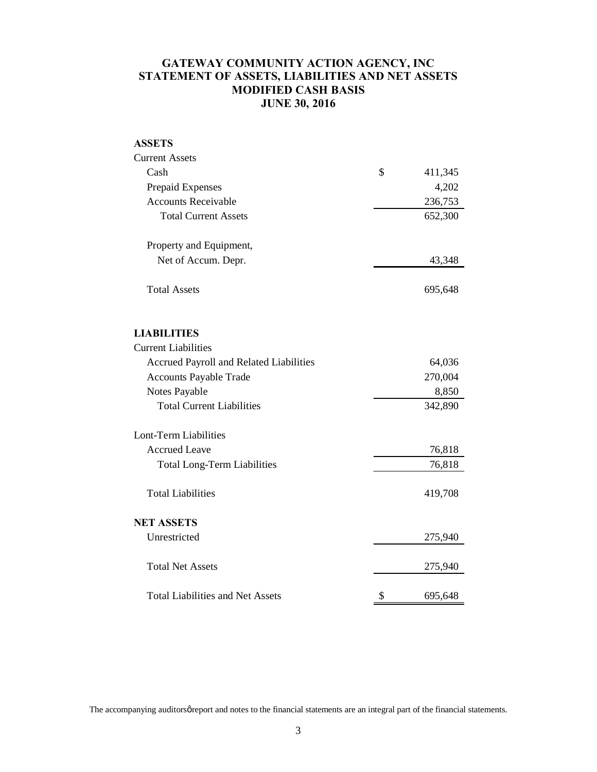### **GATEWAY COMMUNITY ACTION AGENCY, INC STATEMENT OF ASSETS, LIABILITIES AND NET ASSETS MODIFIED CASH BASIS JUNE 30, 2016**

| <b>ASSETS</b>                           |               |
|-----------------------------------------|---------------|
| <b>Current Assets</b>                   |               |
| Cash                                    | \$<br>411,345 |
| Prepaid Expenses                        | 4,202         |
| <b>Accounts Receivable</b>              | 236,753       |
| <b>Total Current Assets</b>             | 652,300       |
| Property and Equipment,                 |               |
| Net of Accum. Depr.                     | 43,348        |
| <b>Total Assets</b>                     | 695,648       |
| <b>LIABILITIES</b>                      |               |
| <b>Current Liabilities</b>              |               |
| Accrued Payroll and Related Liabilities | 64,036        |
| <b>Accounts Payable Trade</b>           | 270,004       |
| Notes Payable                           | 8,850         |
| <b>Total Current Liabilities</b>        | 342,890       |
| Lont-Term Liabilities                   |               |
| <b>Accrued Leave</b>                    | 76,818        |
| <b>Total Long-Term Liabilities</b>      | 76,818        |
| <b>Total Liabilities</b>                | 419,708       |
| <b>NET ASSETS</b>                       |               |
| Unrestricted                            | 275,940       |
| <b>Total Net Assets</b>                 | 275,940       |
| <b>Total Liabilities and Net Assets</b> | \$<br>695,648 |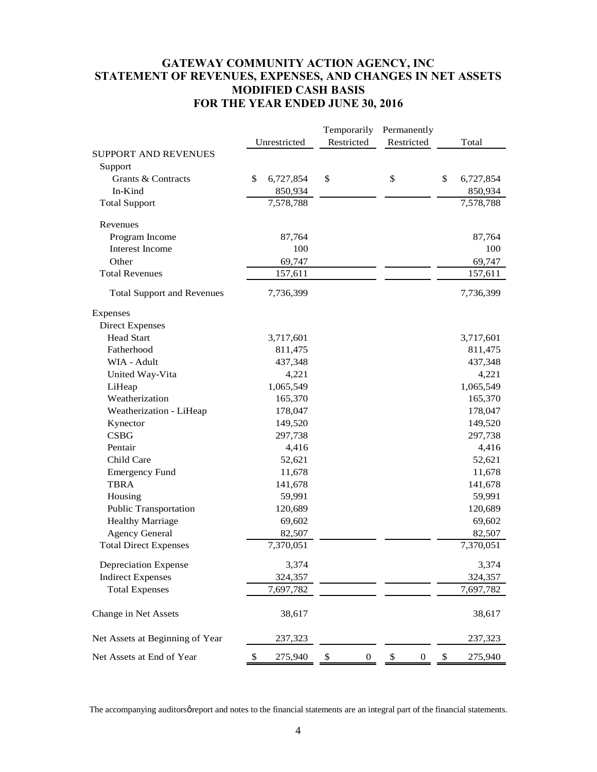### **GATEWAY COMMUNITY ACTION AGENCY, INC STATEMENT OF REVENUES, EXPENSES, AND CHANGES IN NET ASSETS MODIFIED CASH BASIS FOR THE YEAR ENDED JUNE 30, 2016**

|                                   |                 | Temporarily          | Permanently          |                 |
|-----------------------------------|-----------------|----------------------|----------------------|-----------------|
|                                   | Unrestricted    | Restricted           | Restricted           | Total           |
| SUPPORT AND REVENUES              |                 |                      |                      |                 |
| Support                           |                 |                      |                      |                 |
| Grants & Contracts                | \$<br>6,727,854 | \$                   | \$                   | \$<br>6,727,854 |
| In-Kind                           | 850,934         |                      |                      | 850,934         |
| <b>Total Support</b>              | 7,578,788       |                      |                      | 7,578,788       |
| Revenues                          |                 |                      |                      |                 |
| Program Income                    | 87,764          |                      |                      | 87,764          |
| Interest Income                   | 100             |                      |                      | 100             |
| Other                             | 69,747          |                      |                      | 69,747          |
| <b>Total Revenues</b>             | 157,611         |                      |                      | 157,611         |
| <b>Total Support and Revenues</b> | 7,736,399       |                      |                      | 7,736,399       |
| Expenses                          |                 |                      |                      |                 |
| <b>Direct Expenses</b>            |                 |                      |                      |                 |
| <b>Head Start</b>                 | 3,717,601       |                      |                      | 3,717,601       |
| Fatherhood                        | 811,475         |                      |                      | 811,475         |
| WIA - Adult                       | 437,348         |                      |                      | 437,348         |
| United Way-Vita                   | 4,221           |                      |                      | 4,221           |
| LiHeap                            | 1,065,549       |                      |                      | 1,065,549       |
| Weatherization                    | 165,370         |                      |                      | 165,370         |
| Weatherization - LiHeap           | 178,047         |                      |                      | 178,047         |
| Kynector                          | 149,520         |                      |                      | 149,520         |
| <b>CSBG</b>                       | 297,738         |                      |                      | 297,738         |
| Pentair                           | 4,416           |                      |                      | 4,416           |
| Child Care                        | 52,621          |                      |                      | 52,621          |
| <b>Emergency Fund</b>             | 11,678          |                      |                      | 11,678          |
| <b>TBRA</b>                       | 141,678         |                      |                      | 141,678         |
| Housing                           | 59,991          |                      |                      | 59,991          |
| <b>Public Transportation</b>      | 120,689         |                      |                      | 120,689         |
| <b>Healthy Marriage</b>           | 69,602          |                      |                      | 69,602          |
| <b>Agency General</b>             | 82,507          |                      |                      | 82,507          |
| <b>Total Direct Expenses</b>      | 7,370,051       |                      |                      | 7,370,051       |
| <b>Depreciation Expense</b>       | 3,374           |                      |                      | 3,374           |
| <b>Indirect Expenses</b>          | 324,357         |                      |                      | 324,357         |
| <b>Total Expenses</b>             | 7,697,782       |                      |                      | 7,697,782       |
| Change in Net Assets              | 38,617          |                      |                      | 38,617          |
| Net Assets at Beginning of Year   | 237,323         |                      |                      | 237,323         |
| Net Assets at End of Year         | \$<br>275,940   | $\$$<br>$\mathbf{0}$ | $\$$<br>$\mathbf{0}$ | \$<br>275,940   |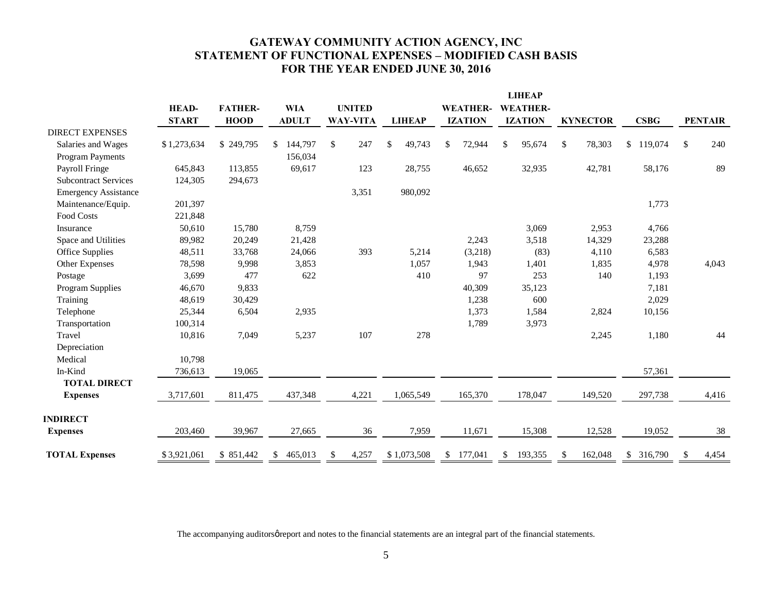### **GATEWAY COMMUNITY ACTION AGENCY, INC STATEMENT OF FUNCTIONAL EXPENSES – MODIFIED CASH BASIS FOR THE YEAR ENDED JUNE 30, 2016**

|                             |              |                |               |                 |               |                 | <b>LIHEAP</b>   |               |                 |                |             |               |                |
|-----------------------------|--------------|----------------|---------------|-----------------|---------------|-----------------|-----------------|---------------|-----------------|----------------|-------------|---------------|----------------|
|                             | <b>HEAD-</b> | <b>FATHER-</b> | <b>WIA</b>    | <b>UNITED</b>   |               | <b>WEATHER-</b> | <b>WEATHER-</b> |               |                 |                |             |               |                |
|                             | <b>START</b> | <b>HOOD</b>    | <b>ADULT</b>  | <b>WAY-VITA</b> | <b>LIHEAP</b> | <b>IZATION</b>  | <b>IZATION</b>  |               | <b>KYNECTOR</b> |                | <b>CSBG</b> |               | <b>PENTAIR</b> |
| <b>DIRECT EXPENSES</b>      |              |                |               |                 |               |                 |                 |               |                 |                |             |               |                |
| Salaries and Wages          | \$1,273,634  | \$249,795      | 144,797<br>\$ | \$<br>247       | \$<br>49,743  | \$<br>72,944    | \$<br>95,674    | \$            | 78,303          | $\mathbb{S}^-$ | 119,074     | $\frac{1}{2}$ | 240            |
| <b>Program Payments</b>     |              |                | 156,034       |                 |               |                 |                 |               |                 |                |             |               |                |
| Payroll Fringe              | 645,843      | 113,855        | 69,617        | 123             | 28,755        | 46,652          | 32,935          |               | 42,781          |                | 58,176      |               | 89             |
| <b>Subcontract Services</b> | 124,305      | 294,673        |               |                 |               |                 |                 |               |                 |                |             |               |                |
| <b>Emergency Assistance</b> |              |                |               | 3,351           | 980,092       |                 |                 |               |                 |                |             |               |                |
| Maintenance/Equip.          | 201,397      |                |               |                 |               |                 |                 |               |                 |                | 1,773       |               |                |
| Food Costs                  | 221,848      |                |               |                 |               |                 |                 |               |                 |                |             |               |                |
| Insurance                   | 50,610       | 15,780         | 8,759         |                 |               |                 | 3,069           |               | 2,953           |                | 4,766       |               |                |
| Space and Utilities         | 89,982       | 20,249         | 21,428        |                 |               | 2,243           | 3,518           |               | 14,329          |                | 23,288      |               |                |
| Office Supplies             | 48,511       | 33,768         | 24,066        | 393             | 5,214         | (3,218)         | (83)            |               | 4,110           |                | 6,583       |               |                |
| Other Expenses              | 78,598       | 9,998          | 3,853         |                 | 1,057         | 1,943           | 1,401           |               | 1,835           |                | 4,978       |               | 4,043          |
| Postage                     | 3,699        | 477            | 622           |                 | 410           | 97              | 253             |               | 140             |                | 1,193       |               |                |
| <b>Program Supplies</b>     | 46,670       | 9,833          |               |                 |               | 40,309          | 35,123          |               |                 |                | 7,181       |               |                |
| Training                    | 48,619       | 30,429         |               |                 |               | 1,238           | 600             |               |                 |                | 2,029       |               |                |
| Telephone                   | 25,344       | 6,504          | 2,935         |                 |               | 1,373           | 1,584           |               | 2,824           |                | 10,156      |               |                |
| Transportation              | 100,314      |                |               |                 |               | 1,789           | 3,973           |               |                 |                |             |               |                |
| Travel                      | 10,816       | 7,049          | 5,237         | 107             | 278           |                 |                 |               | 2,245           |                | 1,180       |               | 44             |
| Depreciation                |              |                |               |                 |               |                 |                 |               |                 |                |             |               |                |
| Medical                     | 10,798       |                |               |                 |               |                 |                 |               |                 |                |             |               |                |
| In-Kind                     | 736,613      | 19,065         |               |                 |               |                 |                 |               |                 |                | 57,361      |               |                |
| <b>TOTAL DIRECT</b>         |              |                |               |                 |               |                 |                 |               |                 |                |             |               |                |
| <b>Expenses</b>             | 3,717,601    | 811,475        | 437,348       | 4,221           | 1,065,549     | 165,370         | 178,047         |               | 149,520         |                | 297,738     |               | 4,416          |
| <b>INDIRECT</b>             |              |                |               |                 |               |                 |                 |               |                 |                |             |               |                |
| <b>Expenses</b>             | 203,460      | 39,967         | 27,665        | 36              | 7,959         | 11,671          | 15,308          |               | 12,528          |                | 19,052      |               | $38\,$         |
| <b>TOTAL Expenses</b>       | \$3,921,061  | \$851,442      | 465,013<br>\$ | \$<br>4,257     | \$1,073,508   | \$<br>177,041   | \$<br>193,355   | <sup>\$</sup> | 162,048         |                | \$ 316,790  | \$            | 4,454          |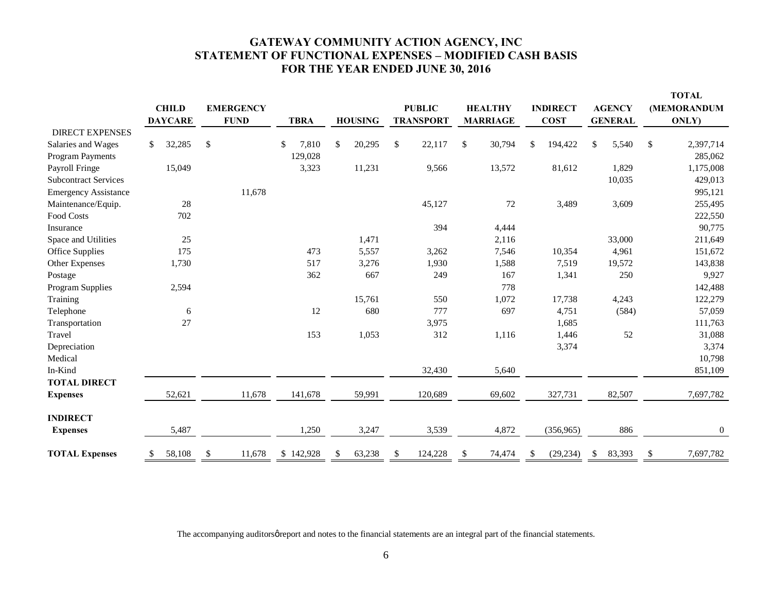### **GATEWAY COMMUNITY ACTION AGENCY, INC STATEMENT OF FUNCTIONAL EXPENSES – MODIFIED CASH BASIS FOR THE YEAR ENDED JUNE 30, 2016**

|                             | <b>CHILD</b><br><b>DAYCARE</b> |                           | <b>EMERGENCY</b><br><b>FUND</b> | <b>TBRA</b> |              | <b>HOUSING</b> | <b>PUBLIC</b><br><b>TRANSPORT</b> |               | <b>HEALTHY</b><br><b>MARRIAGE</b> | <b>INDIRECT</b><br><b>COST</b> |              | <b>AGENCY</b><br><b>GENERAL</b> | <b>TOTAL</b><br>(MEMORANDUM<br><b>ONLY</b> ) |
|-----------------------------|--------------------------------|---------------------------|---------------------------------|-------------|--------------|----------------|-----------------------------------|---------------|-----------------------------------|--------------------------------|--------------|---------------------------------|----------------------------------------------|
| <b>DIRECT EXPENSES</b>      |                                |                           |                                 |             |              |                |                                   |               |                                   |                                |              |                                 |                                              |
| Salaries and Wages          | \$<br>32,285                   | $\boldsymbol{\mathsf{S}}$ |                                 | \$<br>7,810 | $\mathbb{S}$ | 20,295         | \$<br>22,117                      | $\frac{1}{2}$ | 30,794                            | \$<br>194,422                  | $\mathbb{S}$ | 5,540                           | \$<br>2,397,714                              |
| <b>Program Payments</b>     |                                |                           |                                 | 129,028     |              |                |                                   |               |                                   |                                |              |                                 | 285,062                                      |
| Payroll Fringe              | 15,049                         |                           |                                 | 3,323       |              | 11,231         | 9,566                             |               | 13,572                            | 81,612                         |              | 1,829                           | 1,175,008                                    |
| <b>Subcontract Services</b> |                                |                           |                                 |             |              |                |                                   |               |                                   |                                |              | 10,035                          | 429,013                                      |
| <b>Emergency Assistance</b> |                                |                           | 11,678                          |             |              |                |                                   |               |                                   |                                |              |                                 | 995,121                                      |
| Maintenance/Equip.          | 28                             |                           |                                 |             |              |                | 45,127                            |               | 72                                | 3,489                          |              | 3,609                           | 255,495                                      |
| Food Costs                  | 702                            |                           |                                 |             |              |                |                                   |               |                                   |                                |              |                                 | 222,550                                      |
| Insurance                   |                                |                           |                                 |             |              |                | 394                               |               | 4,444                             |                                |              |                                 | 90,775                                       |
| Space and Utilities         | 25                             |                           |                                 |             |              | 1,471          |                                   |               | 2,116                             |                                |              | 33,000                          | 211,649                                      |
| Office Supplies             | 175                            |                           |                                 | 473         |              | 5,557          | 3,262                             |               | 7,546                             | 10,354                         |              | 4,961                           | 151,672                                      |
| Other Expenses              | 1,730                          |                           |                                 | 517         |              | 3,276          | 1,930                             |               | 1,588                             | 7,519                          |              | 19,572                          | 143,838                                      |
| Postage                     |                                |                           |                                 | 362         |              | 667            | 249                               |               | 167                               | 1,341                          |              | 250                             | 9,927                                        |
| <b>Program Supplies</b>     | 2,594                          |                           |                                 |             |              |                |                                   |               | 778                               |                                |              |                                 | 142,488                                      |
| Training                    |                                |                           |                                 |             |              | 15,761         | 550                               |               | 1,072                             | 17,738                         |              | 4,243                           | 122,279                                      |
| Telephone                   | 6                              |                           |                                 | 12          |              | 680            | 777                               |               | 697                               | 4,751                          |              | (584)                           | 57,059                                       |
| Transportation              | 27                             |                           |                                 |             |              |                | 3,975                             |               |                                   | 1,685                          |              |                                 | 111,763                                      |
| Travel                      |                                |                           |                                 | 153         |              | 1,053          | 312                               |               | 1,116                             | 1,446                          |              | 52                              | 31,088                                       |
| Depreciation                |                                |                           |                                 |             |              |                |                                   |               |                                   | 3,374                          |              |                                 | 3,374                                        |
| Medical                     |                                |                           |                                 |             |              |                |                                   |               |                                   |                                |              |                                 | 10,798                                       |
| In-Kind                     |                                |                           |                                 |             |              |                | 32,430                            |               | 5,640                             |                                |              |                                 | 851,109                                      |
| <b>TOTAL DIRECT</b>         |                                |                           |                                 |             |              |                |                                   |               |                                   |                                |              |                                 |                                              |
| <b>Expenses</b>             | 52,621                         |                           | 11,678                          | 141,678     |              | 59,991         | 120,689                           |               | 69,602                            | 327,731                        |              | 82,507                          | 7,697,782                                    |
| <b>INDIRECT</b>             |                                |                           |                                 |             |              |                |                                   |               |                                   |                                |              |                                 |                                              |
| <b>Expenses</b>             | 5,487                          |                           |                                 | 1,250       |              | 3,247          | 3,539                             |               | 4,872                             | (356, 965)                     |              | 886                             | $\mathbf{0}$                                 |
| <b>TOTAL Expenses</b>       | \$<br>58,108                   | \$                        | 11,678                          | \$142,928   | \$           | 63,238         | \$<br>124,228                     | \$            | 74,474                            | \$<br>(29, 234)                | \$           | 83,393                          | \$<br>7,697,782                              |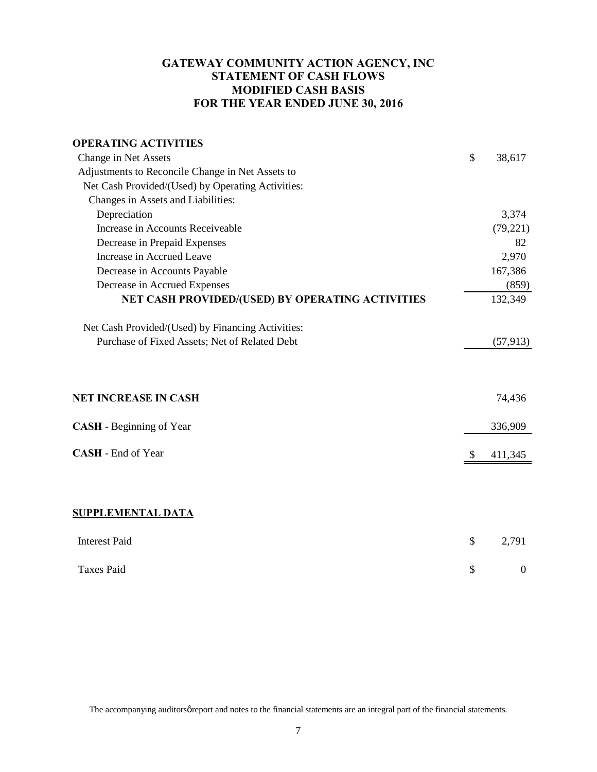### **GATEWAY COMMUNITY ACTION AGENCY, INC STATEMENT OF CASH FLOWS MODIFIED CASH BASIS FOR THE YEAR ENDED JUNE 30, 2016**

| <b>OPERATING ACTIVITIES</b>                       |                        |
|---------------------------------------------------|------------------------|
| Change in Net Assets                              | \$<br>38,617           |
| Adjustments to Reconcile Change in Net Assets to  |                        |
| Net Cash Provided/(Used) by Operating Activities: |                        |
| Changes in Assets and Liabilities:                |                        |
| Depreciation                                      | 3,374                  |
| Increase in Accounts Receiveable                  | (79, 221)              |
| Decrease in Prepaid Expenses                      | 82                     |
| Increase in Accrued Leave                         | 2,970                  |
| Decrease in Accounts Payable                      | 167,386                |
| Decrease in Accrued Expenses                      | (859)                  |
| NET CASH PROVIDED/(USED) BY OPERATING ACTIVITIES  | 132,349                |
| Net Cash Provided/(Used) by Financing Activities: |                        |
| Purchase of Fixed Assets; Net of Related Debt     | (57, 913)              |
| <b>NET INCREASE IN CASH</b>                       | 74,436                 |
| <b>CASH</b> - Beginning of Year                   | 336,909                |
| <b>CASH</b> - End of Year                         |                        |
|                                                   | 411,345                |
| <b>SUPPLEMENTAL DATA</b>                          |                        |
| <b>Interest Paid</b>                              | \$<br>2,791            |
| <b>Taxes Paid</b>                                 | \$<br>$\boldsymbol{0}$ |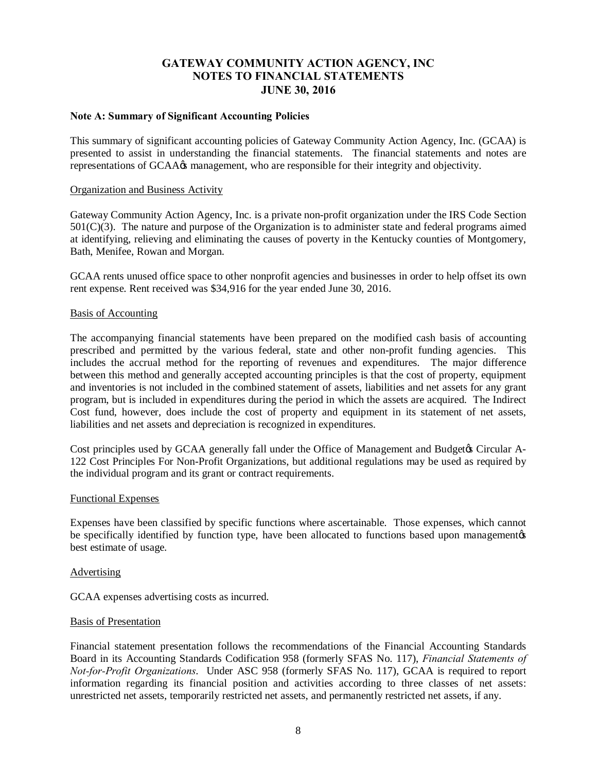### **Note A: Summary of Significant Accounting Policies**

This summary of significant accounting policies of Gateway Community Action Agency, Inc. (GCAA) is presented to assist in understanding the financial statements. The financial statements and notes are representations of GCAA $\alpha$  management, who are responsible for their integrity and objectivity.

### Organization and Business Activity

Gateway Community Action Agency, Inc. is a private non-profit organization under the IRS Code Section  $501(C)(3)$ . The nature and purpose of the Organization is to administer state and federal programs aimed at identifying, relieving and eliminating the causes of poverty in the Kentucky counties of Montgomery, Bath, Menifee, Rowan and Morgan.

GCAA rents unused office space to other nonprofit agencies and businesses in order to help offset its own rent expense. Rent received was \$34,916 for the year ended June 30, 2016.

#### Basis of Accounting

The accompanying financial statements have been prepared on the modified cash basis of accounting prescribed and permitted by the various federal, state and other non-profit funding agencies. This includes the accrual method for the reporting of revenues and expenditures. The major difference between this method and generally accepted accounting principles is that the cost of property, equipment and inventories is not included in the combined statement of assets, liabilities and net assets for any grant program, but is included in expenditures during the period in which the assets are acquired. The Indirect Cost fund, however, does include the cost of property and equipment in its statement of net assets, liabilities and net assets and depreciation is recognized in expenditures.

Cost principles used by GCAA generally fall under the Office of Management and Budget $\alpha$  Circular A-122 Cost Principles For Non-Profit Organizations, but additional regulations may be used as required by the individual program and its grant or contract requirements.

### Functional Expenses

Expenses have been classified by specific functions where ascertainable. Those expenses, which cannot be specifically identified by function type, have been allocated to functions based upon management of best estimate of usage.

#### Advertising

GCAA expenses advertising costs as incurred.

#### Basis of Presentation

Financial statement presentation follows the recommendations of the Financial Accounting Standards Board in its Accounting Standards Codification 958 (formerly SFAS No. 117), *Financial Statements of Not-for-Profit Organizations*. Under ASC 958 (formerly SFAS No. 117), GCAA is required to report information regarding its financial position and activities according to three classes of net assets: unrestricted net assets, temporarily restricted net assets, and permanently restricted net assets, if any.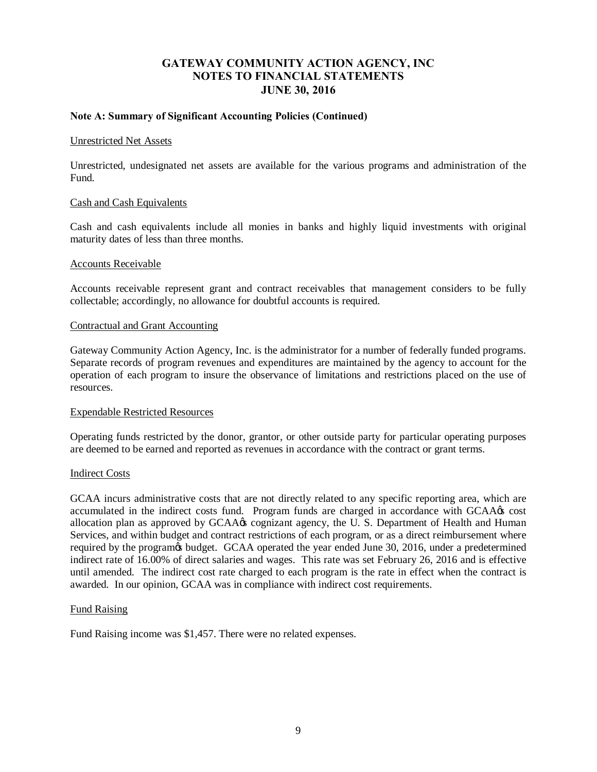### **Note A: Summary of Significant Accounting Policies (Continued)**

#### Unrestricted Net Assets

Unrestricted, undesignated net assets are available for the various programs and administration of the Fund.

#### Cash and Cash Equivalents

Cash and cash equivalents include all monies in banks and highly liquid investments with original maturity dates of less than three months.

#### Accounts Receivable

Accounts receivable represent grant and contract receivables that management considers to be fully collectable; accordingly, no allowance for doubtful accounts is required.

#### Contractual and Grant Accounting

Gateway Community Action Agency, Inc. is the administrator for a number of federally funded programs. Separate records of program revenues and expenditures are maintained by the agency to account for the operation of each program to insure the observance of limitations and restrictions placed on the use of resources.

#### Expendable Restricted Resources

Operating funds restricted by the donor, grantor, or other outside party for particular operating purposes are deemed to be earned and reported as revenues in accordance with the contract or grant terms.

#### Indirect Costs

GCAA incurs administrative costs that are not directly related to any specific reporting area, which are accumulated in the indirect costs fund. Program funds are charged in accordance with GCAA $\alpha$  cost allocation plan as approved by GCAA $\alpha$  cognizant agency, the U.S. Department of Health and Human Services, and within budget and contract restrictions of each program, or as a direct reimbursement where required by the program ts budget. GCAA operated the year ended June 30, 2016, under a predetermined indirect rate of 16.00% of direct salaries and wages. This rate was set February 26, 2016 and is effective until amended. The indirect cost rate charged to each program is the rate in effect when the contract is awarded. In our opinion, GCAA was in compliance with indirect cost requirements.

#### Fund Raising

Fund Raising income was \$1,457. There were no related expenses.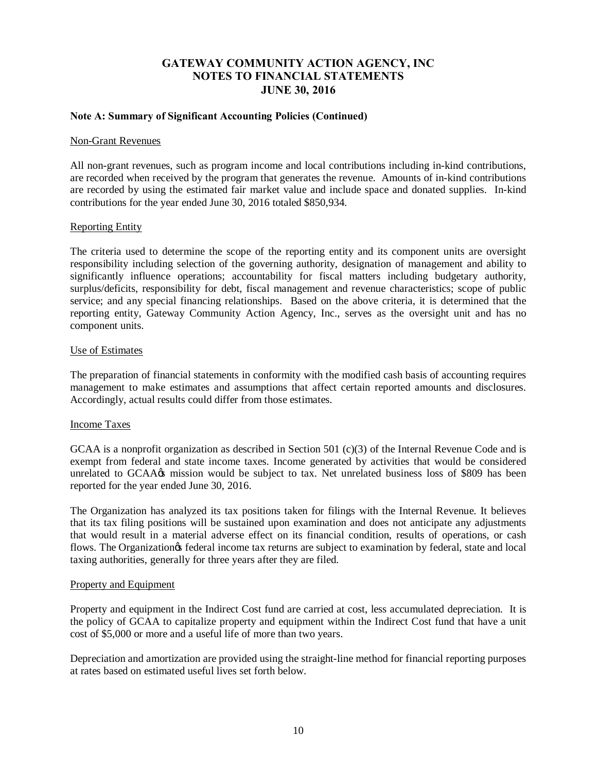### **Note A: Summary of Significant Accounting Policies (Continued)**

#### Non-Grant Revenues

All non-grant revenues, such as program income and local contributions including in-kind contributions, are recorded when received by the program that generates the revenue. Amounts of in-kind contributions are recorded by using the estimated fair market value and include space and donated supplies. In-kind contributions for the year ended June 30, 2016 totaled \$850,934.

#### Reporting Entity

The criteria used to determine the scope of the reporting entity and its component units are oversight responsibility including selection of the governing authority, designation of management and ability to significantly influence operations; accountability for fiscal matters including budgetary authority, surplus/deficits, responsibility for debt, fiscal management and revenue characteristics; scope of public service; and any special financing relationships. Based on the above criteria, it is determined that the reporting entity, Gateway Community Action Agency, Inc., serves as the oversight unit and has no component units.

#### Use of Estimates

The preparation of financial statements in conformity with the modified cash basis of accounting requires management to make estimates and assumptions that affect certain reported amounts and disclosures. Accordingly, actual results could differ from those estimates.

#### Income Taxes

GCAA is a nonprofit organization as described in Section 501 (c)(3) of the Internal Revenue Code and is exempt from federal and state income taxes. Income generated by activities that would be considered unrelated to GCAA $\circ$  mission would be subject to tax. Net unrelated business loss of \$809 has been reported for the year ended June 30, 2016.

The Organization has analyzed its tax positions taken for filings with the Internal Revenue. It believes that its tax filing positions will be sustained upon examination and does not anticipate any adjustments that would result in a material adverse effect on its financial condition, results of operations, or cash flows. The Organization tederal income tax returns are subject to examination by federal, state and local taxing authorities, generally for three years after they are filed.

#### Property and Equipment

Property and equipment in the Indirect Cost fund are carried at cost, less accumulated depreciation. It is the policy of GCAA to capitalize property and equipment within the Indirect Cost fund that have a unit cost of \$5,000 or more and a useful life of more than two years.

Depreciation and amortization are provided using the straight-line method for financial reporting purposes at rates based on estimated useful lives set forth below.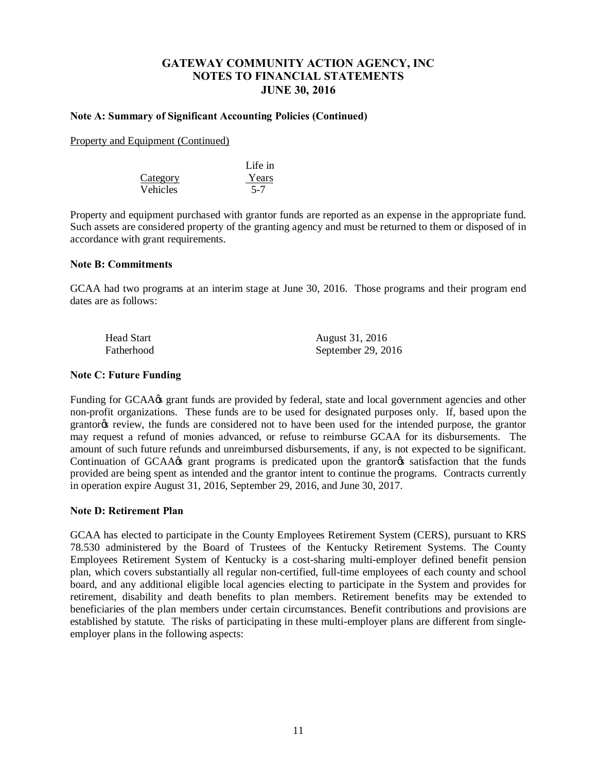#### **Note A: Summary of Significant Accounting Policies (Continued)**

Property and Equipment (Continued)

|                 | Life in |
|-----------------|---------|
| Category        | Years   |
| <b>Vehicles</b> | $5 - 7$ |

Property and equipment purchased with grantor funds are reported as an expense in the appropriate fund. Such assets are considered property of the granting agency and must be returned to them or disposed of in accordance with grant requirements.

#### **Note B: Commitments**

GCAA had two programs at an interim stage at June 30, 2016. Those programs and their program end dates are as follows:

| Head Start | August 31, 2016    |
|------------|--------------------|
| Fatherhood | September 29, 2016 |

### **Note C: Future Funding**

Funding for GCAA $\alpha$  grant funds are provided by federal, state and local government agencies and other non-profit organizations. These funds are to be used for designated purposes only. If, based upon the grantor<sub>of</sub> review, the funds are considered not to have been used for the intended purpose, the grantor may request a refund of monies advanced, or refuse to reimburse GCAA for its disbursements. The amount of such future refunds and unreimbursed disbursements, if any, is not expected to be significant. Continuation of GCAA $\circ$  grant programs is predicated upon the grantor $\circ$  satisfaction that the funds provided are being spent as intended and the grantor intent to continue the programs. Contracts currently in operation expire August 31, 2016, September 29, 2016, and June 30, 2017.

#### **Note D: Retirement Plan**

GCAA has elected to participate in the County Employees Retirement System (CERS), pursuant to KRS 78.530 administered by the Board of Trustees of the Kentucky Retirement Systems. The County Employees Retirement System of Kentucky is a cost-sharing multi-employer defined benefit pension plan, which covers substantially all regular non-certified, full-time employees of each county and school board, and any additional eligible local agencies electing to participate in the System and provides for retirement, disability and death benefits to plan members. Retirement benefits may be extended to beneficiaries of the plan members under certain circumstances. Benefit contributions and provisions are established by statute. The risks of participating in these multi-employer plans are different from singleemployer plans in the following aspects: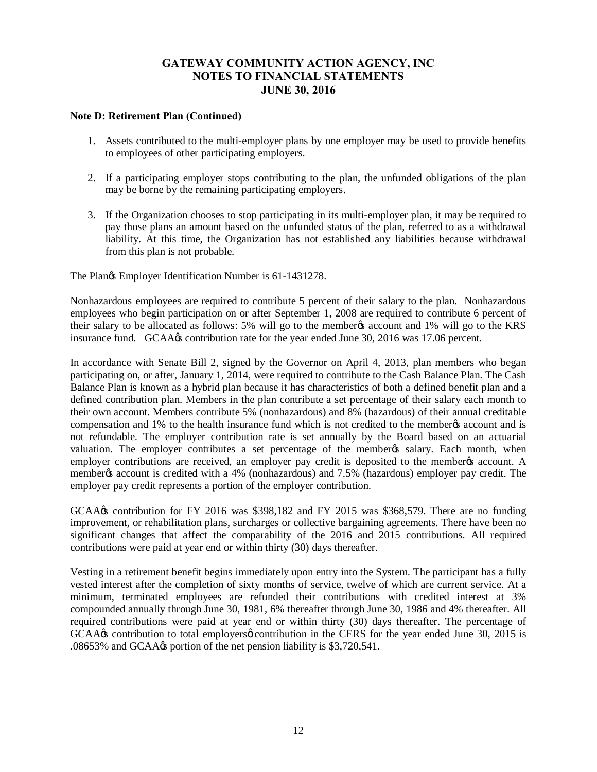### **Note D: Retirement Plan (Continued)**

- 1. Assets contributed to the multi-employer plans by one employer may be used to provide benefits to employees of other participating employers.
- 2. If a participating employer stops contributing to the plan, the unfunded obligations of the plan may be borne by the remaining participating employers.
- 3. If the Organization chooses to stop participating in its multi-employer plan, it may be required to pay those plans an amount based on the unfunded status of the plan, referred to as a withdrawal liability. At this time, the Organization has not established any liabilities because withdrawal from this plan is not probable.

The Plangs Employer Identification Number is 61-1431278.

Nonhazardous employees are required to contribute 5 percent of their salary to the plan. Nonhazardous employees who begin participation on or after September 1, 2008 are required to contribute 6 percent of their salary to be allocated as follows: 5% will go to the member  $\alpha$  account and 1% will go to the KRS insurance fund. GCAA $\alpha$  contribution rate for the year ended June 30, 2016 was 17.06 percent.

In accordance with Senate Bill 2, signed by the Governor on April 4, 2013, plan members who began participating on, or after, January 1, 2014, were required to contribute to the Cash Balance Plan. The Cash Balance Plan is known as a hybrid plan because it has characteristics of both a defined benefit plan and a defined contribution plan. Members in the plan contribute a set percentage of their salary each month to their own account. Members contribute 5% (nonhazardous) and 8% (hazardous) of their annual creditable compensation and 1% to the health insurance fund which is not credited to the member ts account and is not refundable. The employer contribution rate is set annually by the Board based on an actuarial valuation. The employer contributes a set percentage of the member ts salary. Each month, when employer contributions are received, an employer pay credit is deposited to the member t account. A member account is credited with a 4% (nonhazardous) and 7.5% (hazardous) employer pay credit. The employer pay credit represents a portion of the employer contribution.

GCAA $\alpha$  contribution for FY 2016 was \$398,182 and FY 2015 was \$368,579. There are no funding improvement, or rehabilitation plans, surcharges or collective bargaining agreements. There have been no significant changes that affect the comparability of the 2016 and 2015 contributions. All required contributions were paid at year end or within thirty (30) days thereafter.

Vesting in a retirement benefit begins immediately upon entry into the System. The participant has a fully vested interest after the completion of sixty months of service, twelve of which are current service. At a minimum, terminated employees are refunded their contributions with credited interest at 3% compounded annually through June 30, 1981, 6% thereafter through June 30, 1986 and 4% thereafter. All required contributions were paid at year end or within thirty (30) days thereafter. The percentage of GCAA $\alpha$  contribution to total employers contribution in the CERS for the year ended June 30, 2015 is .08653% and GCAA (sportion of the net pension liability is \$3,720,541.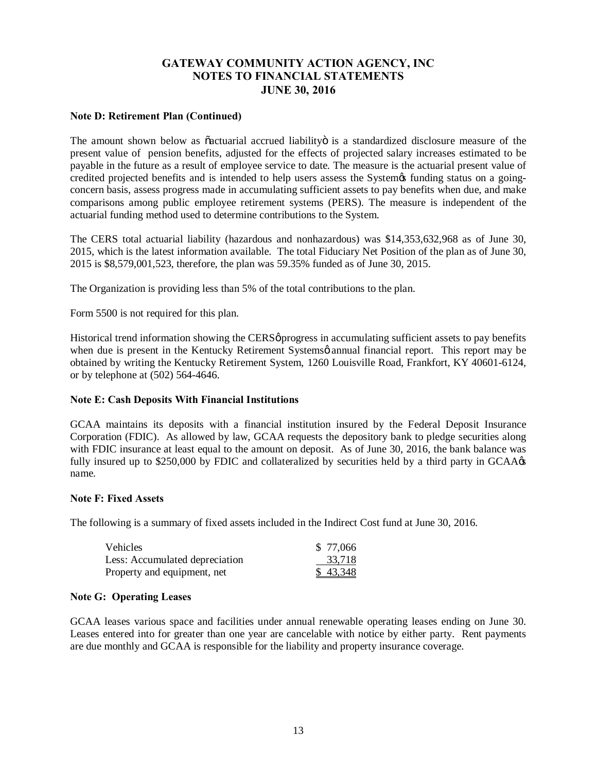### **Note D: Retirement Plan (Continued)**

The amount shown below as õactuarial accrued liability is a standardized disclosure measure of the present value of pension benefits, adjusted for the effects of projected salary increases estimated to be payable in the future as a result of employee service to date. The measure is the actuarial present value of credited projected benefits and is intended to help users assess the System of funding status on a goingconcern basis, assess progress made in accumulating sufficient assets to pay benefits when due, and make comparisons among public employee retirement systems (PERS). The measure is independent of the actuarial funding method used to determine contributions to the System.

The CERS total actuarial liability (hazardous and nonhazardous) was \$14,353,632,968 as of June 30, 2015, which is the latest information available. The total Fiduciary Net Position of the plan as of June 30, 2015 is \$8,579,001,523, therefore, the plan was 59.35% funded as of June 30, 2015.

The Organization is providing less than 5% of the total contributions to the plan.

Form 5500 is not required for this plan.

Historical trend information showing the CERSø progress in accumulating sufficient assets to pay benefits when due is present in the Kentucky Retirement Systemsø annual financial report. This report may be obtained by writing the Kentucky Retirement System, 1260 Louisville Road, Frankfort, KY 40601-6124, or by telephone at (502) 564-4646.

### **Note E: Cash Deposits With Financial Institutions**

GCAA maintains its deposits with a financial institution insured by the Federal Deposit Insurance Corporation (FDIC). As allowed by law, GCAA requests the depository bank to pledge securities along with FDIC insurance at least equal to the amount on deposit. As of June 30, 2016, the bank balance was fully insured up to \$250,000 by FDIC and collateralized by securities held by a third party in GCAA $\alpha$ name.

### **Note F: Fixed Assets**

The following is a summary of fixed assets included in the Indirect Cost fund at June 30, 2016.

| Vehicles                       | \$ 77,066 |
|--------------------------------|-----------|
| Less: Accumulated depreciation | 33,718    |
| Property and equipment, net    | \$43,348  |

### **Note G: Operating Leases**

GCAA leases various space and facilities under annual renewable operating leases ending on June 30. Leases entered into for greater than one year are cancelable with notice by either party. Rent payments are due monthly and GCAA is responsible for the liability and property insurance coverage.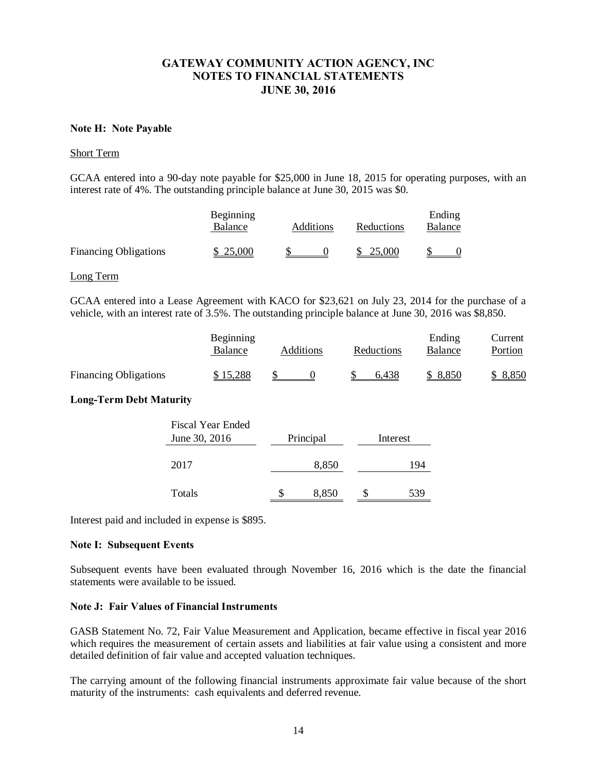### **Note H: Note Payable**

#### Short Term

GCAA entered into a 90-day note payable for \$25,000 in June 18, 2015 for operating purposes, with an interest rate of 4%. The outstanding principle balance at June 30, 2015 was \$0.

|                              | Beginning<br>Balance | <b>Additions</b> | Reductions | Ending<br>Balance |
|------------------------------|----------------------|------------------|------------|-------------------|
| <b>Financing Obligations</b> | \$25,000             |                  | \$25,000   |                   |

### Long Term

GCAA entered into a Lease Agreement with KACO for \$23,621 on July 23, 2014 for the purchase of a vehicle, with an interest rate of 3.5%. The outstanding principle balance at June 30, 2016 was \$8,850.

|                              | Beginning<br>Balance | Additions |  | Reductions | Ending<br>Balance | Current<br>Portion |
|------------------------------|----------------------|-----------|--|------------|-------------------|--------------------|
| <b>Financing Obligations</b> | \$15,288             |           |  | 6.438      | \$ 8,850          | \$ 8,850           |

### **Long-Term Debt Maturity**

| <b>Fiscal Year Ended</b><br>June 30, 2016 | Principal | Interest |
|-------------------------------------------|-----------|----------|
| 2017                                      | 8,850     | 194      |
| Totals                                    | 8,850     | 539      |

Interest paid and included in expense is \$895.

### **Note I: Subsequent Events**

Subsequent events have been evaluated through November 16, 2016 which is the date the financial statements were available to be issued.

### **Note J: Fair Values of Financial Instruments**

GASB Statement No. 72, Fair Value Measurement and Application, became effective in fiscal year 2016 which requires the measurement of certain assets and liabilities at fair value using a consistent and more detailed definition of fair value and accepted valuation techniques.

The carrying amount of the following financial instruments approximate fair value because of the short maturity of the instruments: cash equivalents and deferred revenue.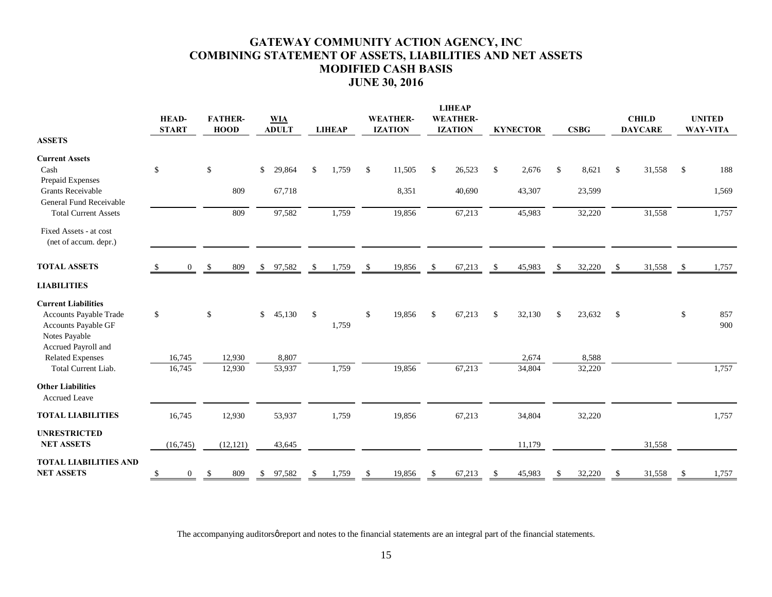### **GATEWAY COMMUNITY ACTION AGENCY, INC COMBINING STATEMENT OF ASSETS, LIABILITIES AND NET ASSETS MODIFIED CASH BASIS JUNE 30, 2016**

| <b>ASSETS</b>                                                                                | <b>HEAD-</b><br><b>START</b> | <b>FATHER-</b><br><b>HOOD</b> | <b>WIA</b><br><b>ADULT</b> | <b>LIHEAP</b>          | <b>WEATHER-</b><br><b>IZATION</b> | <b>LIHEAP</b><br><b>WEATHER-</b><br><b>IZATION</b> | <b>KYNECTOR</b>        | $\bf CSBG$              | <b>CHILD</b><br><b>DAYCARE</b> | <b>UNITED</b><br><b>WAY-VITA</b> |
|----------------------------------------------------------------------------------------------|------------------------------|-------------------------------|----------------------------|------------------------|-----------------------------------|----------------------------------------------------|------------------------|-------------------------|--------------------------------|----------------------------------|
| <b>Current Assets</b>                                                                        |                              |                               |                            |                        |                                   |                                                    |                        |                         |                                |                                  |
| Cash<br>Prepaid Expenses                                                                     | \$                           | \$                            | \$<br>29,864               | 1,759<br>\$            | 11,505<br>\$                      | \$<br>26,523                                       | \$<br>2,676            | 8,621<br><sup>\$</sup>  | \$<br>31,558                   | \$<br>188                        |
| <b>Grants Receivable</b><br>General Fund Receivable                                          |                              | 809                           | 67,718                     |                        | 8,351                             | 40,690                                             | 43,307                 | 23,599                  |                                | 1,569                            |
| <b>Total Current Assets</b>                                                                  |                              | 809                           | 97,582                     | 1,759                  | 19,856                            | 67,213                                             | 45,983                 | 32,220                  | 31,558                         | 1,757                            |
| Fixed Assets - at cost<br>(net of accum. depr.)                                              |                              |                               |                            |                        |                                   |                                                    |                        |                         |                                |                                  |
| <b>TOTAL ASSETS</b>                                                                          | 0<br><sup>S</sup>            | \$<br>809                     | 97,582<br>\$               | <sup>\$</sup><br>1,759 | \$<br>19,856                      | 67,213<br>-\$                                      | 45,983<br>\$           | 32,220<br>-S            | \$<br>31,558                   | \$<br>1,757                      |
| <b>LIABILITIES</b>                                                                           |                              |                               |                            |                        |                                   |                                                    |                        |                         |                                |                                  |
| <b>Current Liabilities</b><br>Accounts Payable Trade<br>Accounts Payable GF<br>Notes Payable | \$                           | \$                            | $\mathbb{S}$<br>45,130     | $\mathcal{S}$<br>1,759 | $\mathbb{S}$<br>19,856            | $\mathbb{S}$<br>67,213                             | $\mathbb{S}$<br>32,130 | 23,632<br><sup>\$</sup> | -\$                            | \$<br>857<br>900                 |
| Accrued Payroll and<br><b>Related Expenses</b>                                               | 16,745                       | 12,930                        | 8,807                      |                        |                                   |                                                    | 2,674                  | 8,588                   |                                |                                  |
| Total Current Liab.                                                                          | 16,745                       | 12,930                        | 53,937                     | 1,759                  | 19,856                            | 67,213                                             | 34,804                 | 32,220                  |                                | 1,757                            |
| <b>Other Liabilities</b><br><b>Accrued Leave</b>                                             |                              |                               |                            |                        |                                   |                                                    |                        |                         |                                |                                  |
| <b>TOTAL LIABILITIES</b>                                                                     | 16,745                       | 12,930                        | 53,937                     | 1,759                  | 19,856                            | 67,213                                             | 34,804                 | 32,220                  |                                | 1,757                            |
| <b>UNRESTRICTED</b><br><b>NET ASSETS</b>                                                     | (16, 745)                    | (12, 121)                     | 43,645                     |                        |                                   |                                                    | 11,179                 |                         | 31,558                         |                                  |
| <b>TOTAL LIABILITIES AND</b><br><b>NET ASSETS</b>                                            | \$<br>$\overline{0}$         | 809                           | 97,582<br><sup>S</sup>     | 1,759                  | 19,856<br>\$                      | 67,213<br><sup>\$</sup>                            | 45,983                 | 32,220                  | 31,558                         | 1,757                            |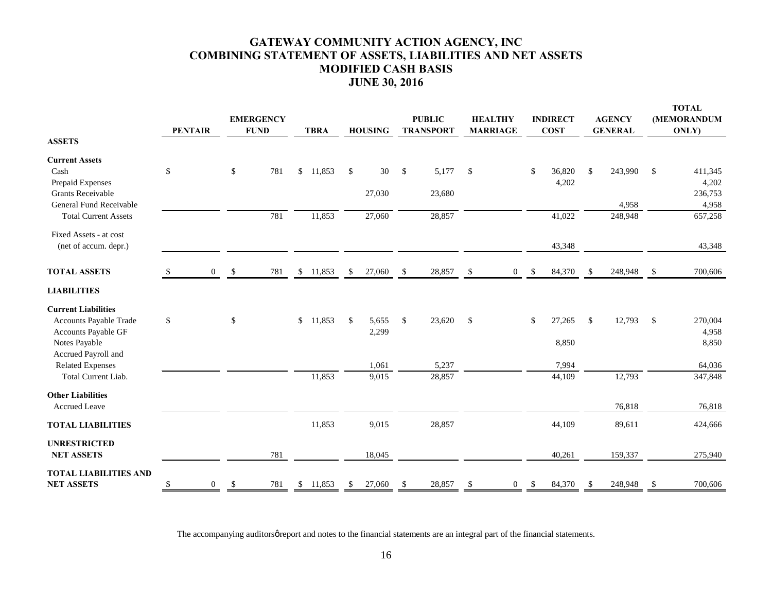### **GATEWAY COMMUNITY ACTION AGENCY, INC COMBINING STATEMENT OF ASSETS, LIABILITIES AND NET ASSETS MODIFIED CASH BASIS JUNE 30, 2016**

|                                                                                                                     |                      | <b>EMERGENCY</b> |     |              |              |                |              | <b>PUBLIC</b>    | <b>HEALTHY</b>  |                |              | <b>INDIRECT</b> |               | <b>AGENCY</b>  |              | <b>TOTAL</b><br>(MEMORANDUM |
|---------------------------------------------------------------------------------------------------------------------|----------------------|------------------|-----|--------------|--------------|----------------|--------------|------------------|-----------------|----------------|--------------|-----------------|---------------|----------------|--------------|-----------------------------|
| <b>ASSETS</b>                                                                                                       | <b>PENTAIR</b>       | <b>FUND</b>      |     | <b>TBRA</b>  |              | <b>HOUSING</b> |              | <b>TRANSPORT</b> | <b>MARRIAGE</b> |                |              | <b>COST</b>     |               | <b>GENERAL</b> |              | ONLY)                       |
| <b>Current Assets</b>                                                                                               |                      |                  |     |              |              |                |              |                  |                 |                |              |                 |               |                |              |                             |
| Cash<br>Prepaid Expenses                                                                                            | $\mathbb{S}$         | \$               | 781 | \$<br>11,853 | $\mathbb{S}$ | 30             | -\$          | 5,177            | $\mathcal{S}$   |                | $\mathbb{S}$ | 36,820<br>4,202 | $\mathcal{S}$ | 243,990        | \$           | 411,345<br>4,202            |
| <b>Grants Receivable</b><br>General Fund Receivable                                                                 |                      |                  |     |              |              | 27,030         |              | 23,680           |                 |                |              |                 |               | 4,958          |              | 236,753<br>4,958            |
| <b>Total Current Assets</b>                                                                                         |                      |                  | 781 | 11,853       |              | 27,060         |              | 28,857           |                 |                |              | 41,022          |               | 248,948        |              | 657,258                     |
| Fixed Assets - at cost<br>(net of accum. depr.)                                                                     |                      |                  |     |              |              |                |              |                  |                 |                |              | 43,348          |               |                |              | 43,348                      |
| <b>TOTAL ASSETS</b>                                                                                                 | $\mathbf{0}$<br>\$   | <sup>\$</sup>    | 781 | \$<br>11,853 | $\mathbb{S}$ | 27,060         | -\$          | 28,857           | $\mathcal{S}$   | $\overline{0}$ | $\mathbb{S}$ | 84,370          | -\$           | 248,948        | -\$          | 700,606                     |
| <b>LIABILITIES</b>                                                                                                  |                      |                  |     |              |              |                |              |                  |                 |                |              |                 |               |                |              |                             |
| <b>Current Liabilities</b><br>Accounts Payable Trade<br>Accounts Payable GF<br>Notes Payable<br>Accrued Payroll and | \$                   | \$               |     | \$11,853     | \$           | 5,655<br>2,299 | $\mathbb{S}$ | 23,620           | $\mathcal{S}$   |                | \$           | 27,265<br>8,850 | \$            | 12,793         | $\mathbb{S}$ | 270,004<br>4,958<br>8,850   |
| <b>Related Expenses</b>                                                                                             |                      |                  |     |              |              | 1,061          |              | 5,237            |                 |                |              | 7,994           |               |                |              | 64,036                      |
| Total Current Liab.                                                                                                 |                      |                  |     | 11,853       |              | 9,015          |              | 28,857           |                 |                |              | 44,109          |               | 12,793         |              | 347,848                     |
| <b>Other Liabilities</b><br><b>Accrued Leave</b>                                                                    |                      |                  |     |              |              |                |              |                  |                 |                |              |                 |               | 76,818         |              | 76,818                      |
| <b>TOTAL LIABILITIES</b>                                                                                            |                      |                  |     | 11,853       |              | 9,015          |              | 28,857           |                 |                |              | 44,109          |               | 89,611         |              | 424,666                     |
| <b>UNRESTRICTED</b><br><b>NET ASSETS</b>                                                                            |                      |                  | 781 |              |              | 18,045         |              |                  |                 |                |              | 40,261          |               | 159,337        |              | 275,940                     |
| <b>TOTAL LIABILITIES AND</b><br><b>NET ASSETS</b>                                                                   | \$<br>$\overline{0}$ | \$               | 781 | \$<br>11,853 | \$           | 27,060         | S.           | 28,857           | \$              | $\overline{0}$ | \$           | 84,370          | -S            | 248,948        | \$           | 700,606                     |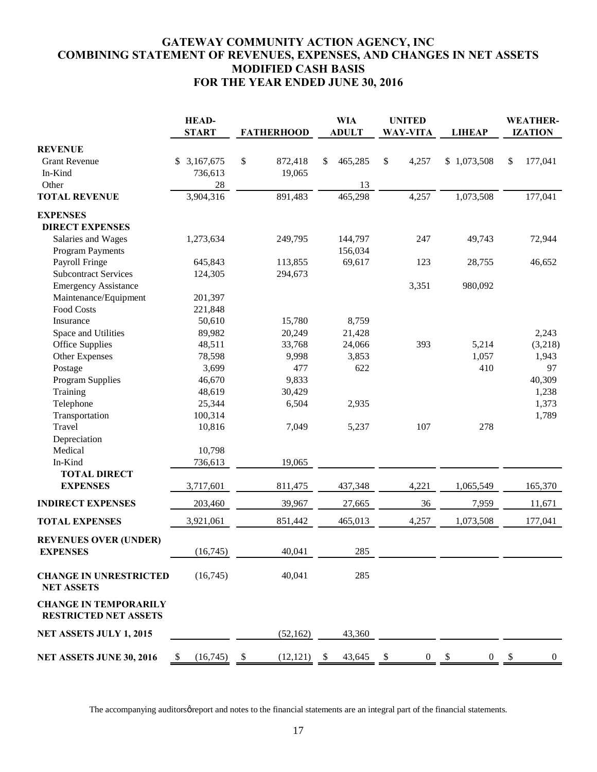### **GATEWAY COMMUNITY ACTION AGENCY, INC COMBINING STATEMENT OF REVENUES, EXPENSES, AND CHANGES IN NET ASSETS MODIFIED CASH BASIS FOR THE YEAR ENDED JUNE 30, 2016**

|                                                              | <b>HEAD-</b><br><b>START</b> | <b>FATHERHOOD</b> | <b>WIA</b><br><b>ADULT</b> | <b>UNITED</b><br><b>WAY-VITA</b> | <b>LIHEAP</b>        | <b>WEATHER-</b><br><b>IZATION</b> |
|--------------------------------------------------------------|------------------------------|-------------------|----------------------------|----------------------------------|----------------------|-----------------------------------|
| <b>REVENUE</b>                                               |                              |                   |                            |                                  |                      |                                   |
| <b>Grant Revenue</b>                                         | 3,167,675<br>\$              | \$<br>872,418     | \$<br>465,285              | \$<br>4,257                      | \$1,073,508          | \$<br>177,041                     |
| In-Kind                                                      | 736,613                      | 19,065            |                            |                                  |                      |                                   |
| Other                                                        | 28                           |                   | 13                         |                                  |                      |                                   |
| <b>TOTAL REVENUE</b>                                         | 3,904,316                    | 891,483           | 465,298                    | 4,257                            | 1,073,508            | 177,041                           |
| <b>EXPENSES</b>                                              |                              |                   |                            |                                  |                      |                                   |
| <b>DIRECT EXPENSES</b>                                       |                              |                   |                            |                                  |                      |                                   |
| Salaries and Wages                                           | 1,273,634                    | 249,795           | 144,797                    | 247                              | 49,743               | 72,944                            |
| <b>Program Payments</b>                                      |                              |                   | 156,034                    |                                  |                      |                                   |
| Payroll Fringe                                               | 645,843                      | 113,855           | 69,617                     | 123                              | 28,755               | 46,652                            |
| <b>Subcontract Services</b>                                  | 124,305                      | 294,673           |                            |                                  |                      |                                   |
| <b>Emergency Assistance</b>                                  |                              |                   |                            | 3,351                            | 980,092              |                                   |
| Maintenance/Equipment                                        | 201,397                      |                   |                            |                                  |                      |                                   |
| Food Costs                                                   | 221,848                      |                   |                            |                                  |                      |                                   |
| Insurance                                                    | 50,610                       | 15,780            | 8,759                      |                                  |                      |                                   |
| Space and Utilities                                          | 89,982                       | 20,249            | 21,428                     |                                  |                      | 2,243                             |
| Office Supplies                                              | 48,511                       | 33,768            | 24,066                     | 393                              | 5,214                | (3,218)                           |
| Other Expenses                                               | 78,598                       | 9,998             | 3,853                      |                                  | 1,057                | 1,943                             |
| Postage                                                      | 3,699                        | 477               | 622                        |                                  | 410                  | 97                                |
| <b>Program Supplies</b>                                      | 46,670                       | 9,833             |                            |                                  |                      | 40,309                            |
| Training                                                     | 48,619                       | 30,429            |                            |                                  |                      | 1,238                             |
| Telephone                                                    | 25,344                       | 6,504             | 2,935                      |                                  |                      | 1,373                             |
| Transportation                                               | 100,314                      |                   |                            |                                  |                      | 1,789                             |
| Travel                                                       | 10,816                       | 7,049             | 5,237                      | 107                              | 278                  |                                   |
| Depreciation                                                 |                              |                   |                            |                                  |                      |                                   |
| Medical                                                      | 10,798                       |                   |                            |                                  |                      |                                   |
| In-Kind                                                      | 736,613                      | 19,065            |                            |                                  |                      |                                   |
| <b>TOTAL DIRECT</b>                                          |                              |                   |                            |                                  |                      |                                   |
| <b>EXPENSES</b>                                              | 3,717,601                    | 811,475           | 437,348                    | 4,221                            | 1,065,549            | 165,370                           |
| <b>INDIRECT EXPENSES</b>                                     | 203,460                      | 39,967            | 27,665                     | 36                               | 7,959                | 11,671                            |
| <b>TOTAL EXPENSES</b>                                        | 3,921,061                    | 851,442           | 465,013                    | 4,257                            | 1,073,508            | 177,041                           |
| <b>REVENUES OVER (UNDER)</b><br><b>EXPENSES</b>              | (16, 745)                    | 40,041            | 285                        |                                  |                      |                                   |
| <b>CHANGE IN UNRESTRICTED</b><br><b>NET ASSETS</b>           | (16,745)                     | 40,041            | 285                        |                                  |                      |                                   |
| <b>CHANGE IN TEMPORARILY</b><br><b>RESTRICTED NET ASSETS</b> |                              |                   |                            |                                  |                      |                                   |
| <b>NET ASSETS JULY 1, 2015</b>                               |                              | (52, 162)         | 43,360                     |                                  |                      |                                   |
| NET ASSETS JUNE 30, 2016                                     | \$<br>(16, 745)              | \$<br>(12, 121)   | \$<br>43,645               | \$<br>$\mathbf{0}$               | \$<br>$\overline{0}$ | \$<br>$\boldsymbol{0}$            |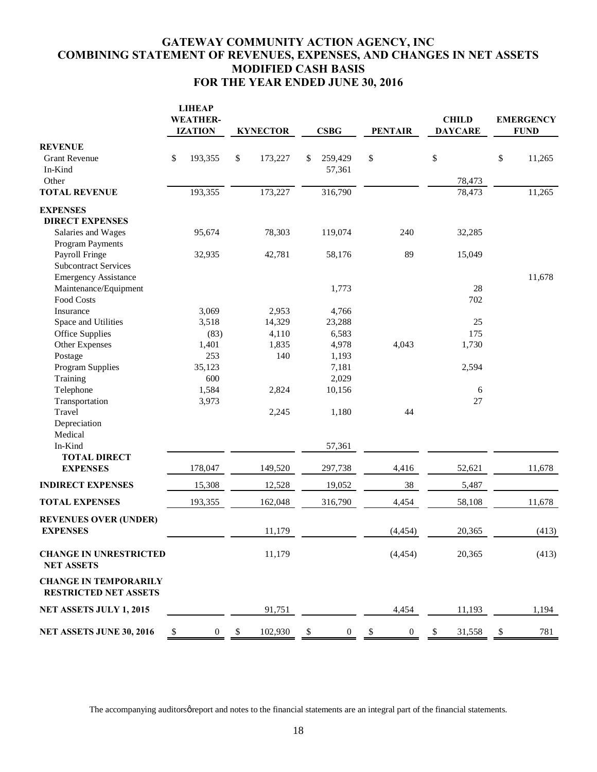### **GATEWAY COMMUNITY ACTION AGENCY, INC COMBINING STATEMENT OF REVENUES, EXPENSES, AND CHANGES IN NET ASSETS MODIFIED CASH BASIS FOR THE YEAR ENDED JUNE 30, 2016**

|                                                    | <b>LIHEAP</b><br><b>WEATHER-</b><br><b>IZATION</b> |                |    | <b>KYNECTOR</b> |                           | <b>CSBG</b>    |                            | <b>PENTAIR</b> |    | <b>CHILD</b><br><b>DAYCARE</b> |              | <b>EMERGENCY</b><br><b>FUND</b> |
|----------------------------------------------------|----------------------------------------------------|----------------|----|-----------------|---------------------------|----------------|----------------------------|----------------|----|--------------------------------|--------------|---------------------------------|
|                                                    |                                                    |                |    |                 |                           |                |                            |                |    |                                |              |                                 |
| <b>REVENUE</b>                                     |                                                    |                |    |                 |                           |                |                            |                |    |                                |              |                                 |
| <b>Grant Revenue</b><br>In-Kind                    | \$                                                 | 193,355        | \$ | 173,227         | \$                        | 259,429        | \$                         |                | \$ |                                | \$           | 11,265                          |
| Other                                              |                                                    |                |    |                 |                           | 57,361         |                            |                |    | 78,473                         |              |                                 |
| <b>TOTAL REVENUE</b>                               |                                                    | 193,355        |    | 173,227         |                           | 316,790        |                            |                |    | 78,473                         |              | 11,265                          |
| <b>EXPENSES</b>                                    |                                                    |                |    |                 |                           |                |                            |                |    |                                |              |                                 |
| <b>DIRECT EXPENSES</b>                             |                                                    |                |    |                 |                           |                |                            |                |    |                                |              |                                 |
| Salaries and Wages                                 |                                                    | 95,674         |    | 78,303          |                           | 119,074        |                            | 240            |    | 32,285                         |              |                                 |
| <b>Program Payments</b>                            |                                                    |                |    |                 |                           |                |                            |                |    |                                |              |                                 |
| Payroll Fringe                                     |                                                    | 32,935         |    | 42,781          |                           | 58,176         |                            | 89             |    | 15,049                         |              |                                 |
| <b>Subcontract Services</b>                        |                                                    |                |    |                 |                           |                |                            |                |    |                                |              |                                 |
| <b>Emergency Assistance</b>                        |                                                    |                |    |                 |                           |                |                            |                |    |                                |              | 11,678                          |
| Maintenance/Equipment                              |                                                    |                |    |                 |                           | 1,773          |                            |                |    | $28\,$                         |              |                                 |
| Food Costs                                         |                                                    |                |    |                 |                           |                |                            |                |    | 702                            |              |                                 |
| Insurance                                          |                                                    | 3,069          |    | 2,953           |                           | 4,766          |                            |                |    |                                |              |                                 |
| Space and Utilities                                |                                                    | 3,518          |    | 14,329          |                           | 23,288         |                            |                |    | 25                             |              |                                 |
| Office Supplies                                    |                                                    | (83)           |    | 4,110           |                           | 6,583          |                            |                |    | 175                            |              |                                 |
| Other Expenses                                     |                                                    | 1,401          |    | 1,835           |                           | 4,978          |                            | 4,043          |    | 1,730                          |              |                                 |
| Postage                                            |                                                    | 253            |    | 140             |                           | 1,193          |                            |                |    |                                |              |                                 |
| Program Supplies                                   |                                                    | 35,123         |    |                 |                           | 7,181          |                            |                |    | 2,594                          |              |                                 |
| Training                                           |                                                    | 600            |    |                 |                           | 2,029          |                            |                |    |                                |              |                                 |
| Telephone                                          |                                                    | 1,584          |    | 2,824           |                           | 10,156         |                            |                |    | $\sqrt{6}$                     |              |                                 |
| Transportation                                     |                                                    | 3,973          |    |                 |                           |                |                            |                |    | 27                             |              |                                 |
| Travel                                             |                                                    |                |    | 2,245           |                           | 1,180          |                            | 44             |    |                                |              |                                 |
| Depreciation                                       |                                                    |                |    |                 |                           |                |                            |                |    |                                |              |                                 |
| Medical                                            |                                                    |                |    |                 |                           |                |                            |                |    |                                |              |                                 |
| In-Kind                                            |                                                    |                |    |                 |                           | 57,361         |                            |                |    |                                |              |                                 |
| <b>TOTAL DIRECT</b>                                |                                                    |                |    |                 |                           |                |                            |                |    |                                |              |                                 |
| <b>EXPENSES</b>                                    |                                                    | 178,047        |    | 149,520         |                           | 297,738        |                            | 4,416          |    | 52,621                         |              | 11,678                          |
| <b>INDIRECT EXPENSES</b>                           |                                                    | 15,308         |    | 12,528          |                           | 19,052         |                            | 38             |    | 5,487                          |              |                                 |
| <b>TOTAL EXPENSES</b>                              |                                                    | 193,355        |    | 162,048         |                           | 316,790        |                            | 4,454          |    | 58,108                         |              | 11,678                          |
| <b>REVENUES OVER (UNDER)</b>                       |                                                    |                |    |                 |                           |                |                            |                |    |                                |              |                                 |
| <b>EXPENSES</b>                                    |                                                    |                |    | 11,179          |                           |                |                            | (4, 454)       |    | 20,365                         |              | (413)                           |
|                                                    |                                                    |                |    |                 |                           |                |                            |                |    |                                |              |                                 |
| <b>CHANGE IN UNRESTRICTED</b><br><b>NET ASSETS</b> |                                                    |                |    | 11,179          |                           |                |                            | (4, 454)       |    | 20,365                         |              | (413)                           |
| <b>CHANGE IN TEMPORARILY</b>                       |                                                    |                |    |                 |                           |                |                            |                |    |                                |              |                                 |
| <b>RESTRICTED NET ASSETS</b>                       |                                                    |                |    |                 |                           |                |                            |                |    |                                |              |                                 |
| NET ASSETS JULY 1, 2015                            |                                                    |                |    | 91,751          |                           |                |                            | 4,454          |    | 11,193                         |              | 1,194                           |
| NET ASSETS JUNE 30, 2016                           | \$                                                 | $\overline{0}$ | -S | 102,930         | $\boldsymbol{\mathsf{S}}$ | $\overline{0}$ | $\boldsymbol{\mathcal{S}}$ | $\overline{0}$ | -S | 31,558                         | <sup>S</sup> | 781                             |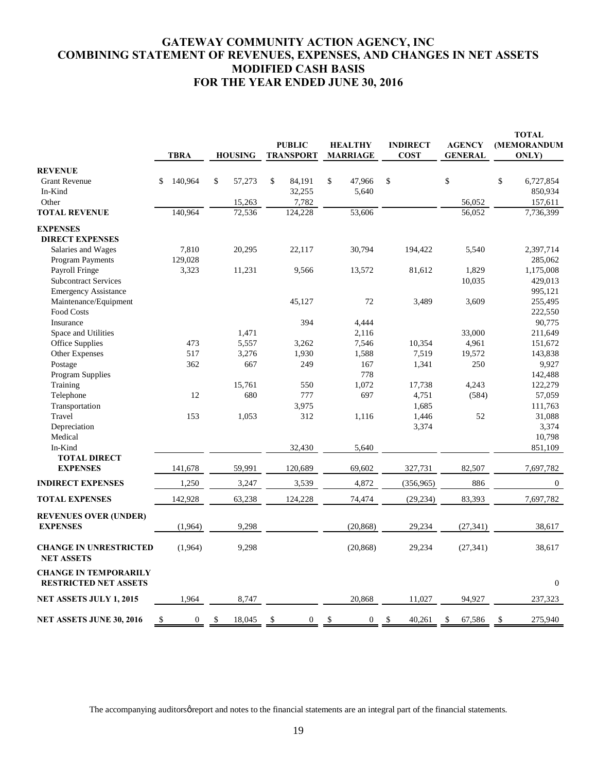### **GATEWAY COMMUNITY ACTION AGENCY, INC COMBINING STATEMENT OF REVENUES, EXPENSES, AND CHANGES IN NET ASSETS MODIFIED CASH BASIS FOR THE YEAR ENDED JUNE 30, 2016**

|                                                              | <b>TBRA</b>        | <b>HOUSING</b> |        | <b>PUBLIC</b><br><b>TRANSPORT</b> | <b>HEALTHY</b><br><b>MARRIAGE</b> | <b>INDIRECT</b><br><b>COST</b> | <b>AGENCY</b><br><b>GENERAL</b> |       | <b>TOTAL</b><br>(MEMORANDUM<br><b>ONLY</b> ) |
|--------------------------------------------------------------|--------------------|----------------|--------|-----------------------------------|-----------------------------------|--------------------------------|---------------------------------|-------|----------------------------------------------|
| <b>REVENUE</b>                                               |                    |                |        |                                   |                                   |                                |                                 |       |                                              |
| <b>Grant Revenue</b>                                         | \$<br>140,964      | \$             | 57,273 | \$<br>84,191                      | \$<br>47,966                      | \$                             | \$                              |       | \$<br>6,727,854                              |
| In-Kind                                                      |                    |                |        | 32,255                            | 5,640                             |                                |                                 |       | 850,934                                      |
| Other                                                        |                    |                | 15,263 | 7,782                             |                                   |                                | 56,052                          |       | 157,611                                      |
| <b>TOTAL REVENUE</b>                                         | 140,964            |                | 72,536 | 124,228                           | 53,606                            |                                | 56,052                          |       | 7,736,399                                    |
| <b>EXPENSES</b>                                              |                    |                |        |                                   |                                   |                                |                                 |       |                                              |
| <b>DIRECT EXPENSES</b>                                       |                    |                |        |                                   |                                   |                                |                                 |       |                                              |
| Salaries and Wages                                           | 7,810              |                | 20,295 | 22,117                            | 30,794                            | 194,422                        | 5,540                           |       | 2,397,714                                    |
| Program Payments                                             | 129,028            |                |        |                                   |                                   |                                |                                 |       | 285,062                                      |
| Payroll Fringe                                               | 3,323              |                | 11,231 | 9.566                             | 13,572                            | 81,612                         | 1.829                           |       | 1,175,008                                    |
| <b>Subcontract Services</b>                                  |                    |                |        |                                   |                                   |                                | 10,035                          |       | 429,013                                      |
| <b>Emergency Assistance</b>                                  |                    |                |        |                                   |                                   |                                |                                 |       | 995,121                                      |
| Maintenance/Equipment                                        |                    |                |        | 45,127                            | 72                                | 3,489                          | 3,609                           |       | 255,495                                      |
| <b>Food Costs</b>                                            |                    |                |        |                                   |                                   |                                |                                 |       | 222,550                                      |
| Insurance                                                    |                    |                |        | 394                               | 4,444                             |                                |                                 |       | 90,775                                       |
| Space and Utilities                                          |                    |                | 1,471  |                                   | 2,116                             |                                | 33,000                          |       | 211,649                                      |
| Office Supplies                                              | 473                |                | 5,557  | 3,262                             | 7,546                             | 10,354                         | 4,961                           |       | 151,672                                      |
| Other Expenses                                               | 517                |                | 3,276  | 1,930                             | 1,588                             | 7,519                          | 19,572                          |       | 143,838                                      |
| Postage                                                      | 362                |                | 667    | 249                               | 167                               | 1,341                          |                                 | 250   | 9,927                                        |
| Program Supplies                                             |                    |                |        |                                   | 778                               |                                |                                 |       | 142,488                                      |
| Training                                                     |                    |                | 15,761 | 550                               | 1.072                             | 17,738                         | 4,243                           |       | 122,279                                      |
| Telephone                                                    | 12                 |                | 680    | 777                               | 697                               | 4,751                          |                                 | (584) | 57,059                                       |
| Transportation                                               |                    |                |        | 3,975                             |                                   | 1,685                          |                                 |       | 111,763                                      |
| Travel                                                       | 153                |                | 1,053  | 312                               | 1,116                             | 1,446                          |                                 | 52    | 31,088                                       |
| Depreciation                                                 |                    |                |        |                                   |                                   | 3,374                          |                                 |       | 3,374                                        |
| Medical                                                      |                    |                |        |                                   |                                   |                                |                                 |       | 10,798                                       |
| In-Kind                                                      |                    |                |        | 32,430                            | 5,640                             |                                |                                 |       | 851,109                                      |
| <b>TOTAL DIRECT</b>                                          |                    |                |        |                                   |                                   |                                |                                 |       |                                              |
| <b>EXPENSES</b>                                              | 141,678            |                | 59,991 | 120,689                           | 69,602                            | 327,731                        | 82,507                          |       | 7,697,782                                    |
| <b>INDIRECT EXPENSES</b>                                     | 1,250              |                | 3,247  | 3,539                             | 4,872                             | (356,965)                      |                                 | 886   | $\mathbf{0}$                                 |
| <b>TOTAL EXPENSES</b>                                        | 142,928            |                | 63,238 | 124,228                           | 74,474                            | (29, 234)                      | 83,393                          |       | 7,697,782                                    |
|                                                              |                    |                |        |                                   |                                   |                                |                                 |       |                                              |
| <b>REVENUES OVER (UNDER)</b>                                 |                    |                |        |                                   |                                   |                                |                                 |       |                                              |
| <b>EXPENSES</b>                                              | (1,964)            |                | 9,298  |                                   | (20, 868)                         | 29,234                         | (27, 341)                       |       | 38,617                                       |
| <b>CHANGE IN UNRESTRICTED</b><br><b>NET ASSETS</b>           | (1,964)            |                | 9,298  |                                   | (20, 868)                         | 29,234                         | (27, 341)                       |       | 38,617                                       |
| <b>CHANGE IN TEMPORARILY</b><br><b>RESTRICTED NET ASSETS</b> |                    |                |        |                                   |                                   |                                |                                 |       | $\overline{0}$                               |
| <b>NET ASSETS JULY 1, 2015</b>                               | 1,964              |                | 8,747  |                                   | 20,868                            | 11,027                         | 94,927                          |       | 237,323                                      |
| <b>NET ASSETS JUNE 30, 2016</b>                              | \$<br>$\mathbf{0}$ | \$             | 18,045 | \$<br>$\boldsymbol{0}$            | \$<br>$\mathbf{0}$                | \$<br>40,261                   | \$<br>67,586                    |       | \$<br>275,940                                |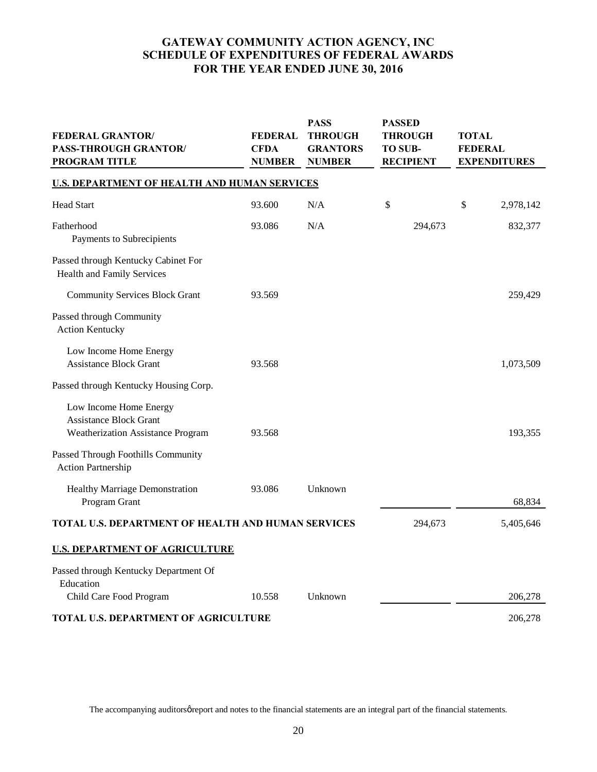### **GATEWAY COMMUNITY ACTION AGENCY, INC SCHEDULE OF EXPENDITURES OF FEDERAL AWARDS FOR THE YEAR ENDED JUNE 30, 2016**

| <b>FEDERAL GRANTOR/</b><br>PASS-THROUGH GRANTOR/<br>PROGRAM TITLE                                   | FEDERAL<br><b>CFDA</b><br><b>NUMBER</b> | <b>PASS</b><br><b>THROUGH</b><br><b>GRANTORS</b><br><b>NUMBER</b> | <b>PASSED</b><br><b>THROUGH</b><br><b>TO SUB-</b><br><b>RECIPIENT</b> | <b>TOTAL</b><br><b>FEDERAL</b> | <b>EXPENDITURES</b> |
|-----------------------------------------------------------------------------------------------------|-----------------------------------------|-------------------------------------------------------------------|-----------------------------------------------------------------------|--------------------------------|---------------------|
| U.S. DEPARTMENT OF HEALTH AND HUMAN SERVICES                                                        |                                         |                                                                   |                                                                       |                                |                     |
| <b>Head Start</b>                                                                                   | 93.600                                  | N/A                                                               | \$                                                                    | \$                             | 2,978,142           |
| Fatherhood<br>Payments to Subrecipients                                                             | 93.086                                  | N/A                                                               | 294,673                                                               |                                | 832,377             |
| Passed through Kentucky Cabinet For<br>Health and Family Services                                   |                                         |                                                                   |                                                                       |                                |                     |
| <b>Community Services Block Grant</b>                                                               | 93.569                                  |                                                                   |                                                                       |                                | 259,429             |
| Passed through Community<br><b>Action Kentucky</b>                                                  |                                         |                                                                   |                                                                       |                                |                     |
| Low Income Home Energy<br><b>Assistance Block Grant</b>                                             | 93.568                                  |                                                                   |                                                                       |                                | 1,073,509           |
| Passed through Kentucky Housing Corp.                                                               |                                         |                                                                   |                                                                       |                                |                     |
| Low Income Home Energy<br><b>Assistance Block Grant</b><br><b>Weatherization Assistance Program</b> | 93.568                                  |                                                                   |                                                                       |                                | 193,355             |
| Passed Through Foothills Community<br><b>Action Partnership</b>                                     |                                         |                                                                   |                                                                       |                                |                     |
| <b>Healthy Marriage Demonstration</b><br>Program Grant                                              | 93.086                                  | Unknown                                                           |                                                                       |                                | 68,834              |
| TOTAL U.S. DEPARTMENT OF HEALTH AND HUMAN SERVICES                                                  |                                         |                                                                   | 294,673                                                               |                                | 5,405,646           |
| <b>U.S. DEPARTMENT OF AGRICULTURE</b>                                                               |                                         |                                                                   |                                                                       |                                |                     |
| Passed through Kentucky Department Of<br>Education                                                  |                                         |                                                                   |                                                                       |                                |                     |
| Child Care Food Program                                                                             | 10.558                                  | Unknown                                                           |                                                                       |                                | 206,278             |
| TOTAL U.S. DEPARTMENT OF AGRICULTURE                                                                |                                         |                                                                   |                                                                       |                                | 206,278             |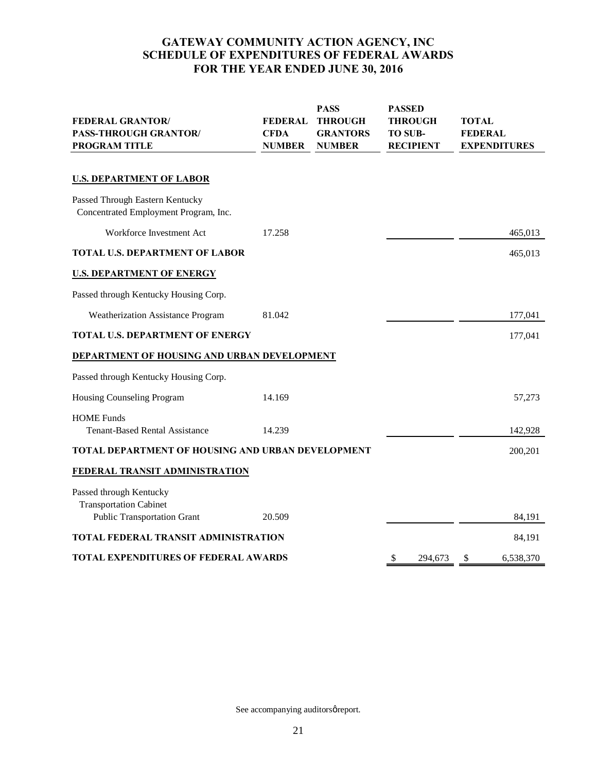### **GATEWAY COMMUNITY ACTION AGENCY, INC SCHEDULE OF EXPENDITURES OF FEDERAL AWARDS FOR THE YEAR ENDED JUNE 30, 2016**

| <b>FEDERAL GRANTOR/</b><br><b>PASS-THROUGH GRANTOR/</b><br><b>PROGRAM TITLE</b> | <b>FEDERAL</b><br><b>CFDA</b><br><b>NUMBER</b> | <b>PASS</b><br><b>THROUGH</b><br><b>GRANTORS</b><br><b>NUMBER</b> | <b>PASSED</b><br><b>THROUGH</b><br><b>TO SUB-</b><br><b>RECIPIENT</b> | <b>TOTAL</b><br><b>FEDERAL</b> | <b>EXPENDITURES</b> |
|---------------------------------------------------------------------------------|------------------------------------------------|-------------------------------------------------------------------|-----------------------------------------------------------------------|--------------------------------|---------------------|
| <b>U.S. DEPARTMENT OF LABOR</b>                                                 |                                                |                                                                   |                                                                       |                                |                     |
| Passed Through Eastern Kentucky<br>Concentrated Employment Program, Inc.        |                                                |                                                                   |                                                                       |                                |                     |
| Workforce Investment Act                                                        | 17.258                                         |                                                                   |                                                                       |                                | 465,013             |
| TOTAL U.S. DEPARTMENT OF LABOR                                                  |                                                |                                                                   |                                                                       |                                | 465,013             |
| <b>U.S. DEPARTMENT OF ENERGY</b>                                                |                                                |                                                                   |                                                                       |                                |                     |
| Passed through Kentucky Housing Corp.                                           |                                                |                                                                   |                                                                       |                                |                     |
| <b>Weatherization Assistance Program</b>                                        | 81.042                                         |                                                                   |                                                                       |                                | 177,041             |
| <b>TOTAL U.S. DEPARTMENT OF ENERGY</b>                                          |                                                |                                                                   |                                                                       |                                | 177,041             |
| DEPARTMENT OF HOUSING AND URBAN DEVELOPMENT                                     |                                                |                                                                   |                                                                       |                                |                     |
| Passed through Kentucky Housing Corp.                                           |                                                |                                                                   |                                                                       |                                |                     |
| Housing Counseling Program                                                      | 14.169                                         |                                                                   |                                                                       |                                | 57,273              |
| <b>HOME Funds</b><br><b>Tenant-Based Rental Assistance</b>                      | 14.239                                         |                                                                   |                                                                       |                                | 142,928             |
| TOTAL DEPARTMENT OF HOUSING AND URBAN DEVELOPMENT                               |                                                |                                                                   |                                                                       |                                | 200,201             |
| FEDERAL TRANSIT ADMINISTRATION                                                  |                                                |                                                                   |                                                                       |                                |                     |
| Passed through Kentucky<br><b>Transportation Cabinet</b>                        |                                                |                                                                   |                                                                       |                                |                     |
| <b>Public Transportation Grant</b>                                              | 20.509                                         |                                                                   |                                                                       |                                | 84,191              |
| TOTAL FEDERAL TRANSIT ADMINISTRATION                                            |                                                |                                                                   |                                                                       |                                | 84,191              |
| <b>TOTAL EXPENDITURES OF FEDERAL AWARDS</b>                                     |                                                |                                                                   | \$<br>294,673                                                         | \$                             | 6,538,370           |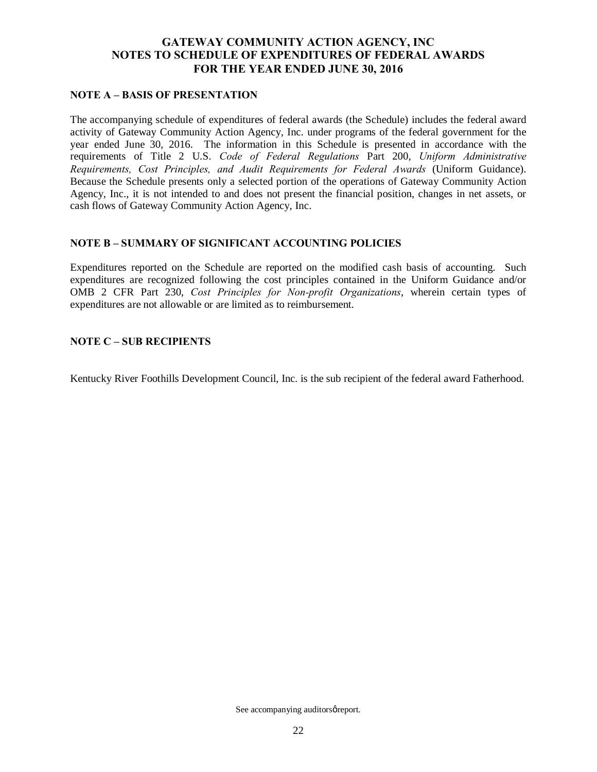### **GATEWAY COMMUNITY ACTION AGENCY, INC NOTES TO SCHEDULE OF EXPENDITURES OF FEDERAL AWARDS FOR THE YEAR ENDED JUNE 30, 2016**

### **NOTE A – BASIS OF PRESENTATION**

The accompanying schedule of expenditures of federal awards (the Schedule) includes the federal award activity of Gateway Community Action Agency, Inc. under programs of the federal government for the year ended June 30, 2016. The information in this Schedule is presented in accordance with the requirements of Title 2 U.S. *Code of Federal Regulations* Part 200, *Uniform Administrative Requirements, Cost Principles, and Audit Requirements for Federal Awards* (Uniform Guidance). Because the Schedule presents only a selected portion of the operations of Gateway Community Action Agency, Inc., it is not intended to and does not present the financial position, changes in net assets, or cash flows of Gateway Community Action Agency, Inc.

### **NOTE B – SUMMARY OF SIGNIFICANT ACCOUNTING POLICIES**

Expenditures reported on the Schedule are reported on the modified cash basis of accounting. Such expenditures are recognized following the cost principles contained in the Uniform Guidance and/or OMB 2 CFR Part 230, *Cost Principles for Non-profit Organizations*, wherein certain types of expenditures are not allowable or are limited as to reimbursement.

### **NOTE C – SUB RECIPIENTS**

Kentucky River Foothills Development Council, Inc. is the sub recipient of the federal award Fatherhood.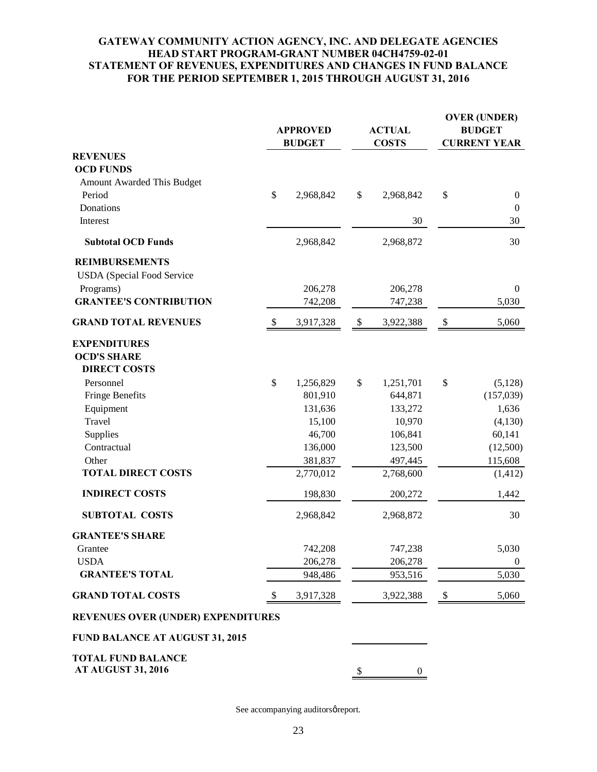### **GATEWAY COMMUNITY ACTION AGENCY, INC. AND DELEGATE AGENCIES HEAD START PROGRAM-GRANT NUMBER 04CH4759-02-01 STATEMENT OF REVENUES, EXPENDITURES AND CHANGES IN FUND BALANCE FOR THE PERIOD SEPTEMBER 1, 2015 THROUGH AUGUST 31, 2016**

| <b>REVENUES</b>                    | <b>APPROVED</b><br><b>BUDGET</b> | <b>ACTUAL</b><br><b>COSTS</b> | <b>OVER (UNDER)</b><br><b>BUDGET</b><br><b>CURRENT YEAR</b> |                  |  |
|------------------------------------|----------------------------------|-------------------------------|-------------------------------------------------------------|------------------|--|
|                                    |                                  |                               |                                                             |                  |  |
| <b>OCD FUNDS</b>                   |                                  |                               |                                                             |                  |  |
| Amount Awarded This Budget         |                                  |                               |                                                             |                  |  |
| Period                             | \$<br>2,968,842                  | \$<br>2,968,842               | \$                                                          | $\mathbf{0}$     |  |
| Donations                          |                                  |                               |                                                             | $\boldsymbol{0}$ |  |
| Interest                           |                                  | 30                            |                                                             | 30               |  |
| <b>Subtotal OCD Funds</b>          | 2,968,842                        | 2,968,872                     |                                                             | 30               |  |
| <b>REIMBURSEMENTS</b>              |                                  |                               |                                                             |                  |  |
| <b>USDA</b> (Special Food Service  |                                  |                               |                                                             |                  |  |
| Programs)                          | 206,278                          | 206,278                       |                                                             | $\overline{0}$   |  |
| <b>GRANTEE'S CONTRIBUTION</b>      | 742,208                          | 747,238                       |                                                             | 5,030            |  |
| <b>GRAND TOTAL REVENUES</b>        | \$<br>3,917,328                  | \$<br>3,922,388               | $\mathbb{S}$                                                | 5,060            |  |
| <b>EXPENDITURES</b>                |                                  |                               |                                                             |                  |  |
| <b>OCD'S SHARE</b>                 |                                  |                               |                                                             |                  |  |
| <b>DIRECT COSTS</b>                |                                  |                               |                                                             |                  |  |
| Personnel                          | \$<br>1,256,829                  | \$<br>1,251,701               | \$                                                          | (5,128)          |  |
| <b>Fringe Benefits</b>             | 801,910                          | 644,871                       |                                                             | (157,039)        |  |
| Equipment                          | 131,636                          | 133,272                       |                                                             | 1,636            |  |
| Travel                             | 15,100                           | 10,970                        |                                                             | (4,130)          |  |
| Supplies                           | 46,700                           | 106,841                       |                                                             | 60,141           |  |
| Contractual                        | 136,000                          | 123,500                       |                                                             | (12,500)         |  |
| Other                              | 381,837                          | 497,445                       |                                                             | 115,608          |  |
| <b>TOTAL DIRECT COSTS</b>          | 2,770,012                        | 2,768,600                     |                                                             | (1, 412)         |  |
| <b>INDIRECT COSTS</b>              | 198,830                          | 200,272                       |                                                             | 1,442            |  |
| <b>SUBTOTAL COSTS</b>              | 2,968,842                        | 2,968,872                     |                                                             | 30               |  |
| <b>GRANTEE'S SHARE</b>             |                                  |                               |                                                             |                  |  |
| Grantee                            | 742,208                          | 747,238                       |                                                             | 5,030            |  |
| <b>USDA</b>                        | 206,278                          | 206,278                       |                                                             | $\boldsymbol{0}$ |  |
| <b>GRANTEE'S TOTAL</b>             | 948,486                          | 953,516                       |                                                             | 5,030            |  |
| <b>GRAND TOTAL COSTS</b>           | \$<br>3,917,328                  | 3,922,388                     | \$                                                          | 5,060            |  |
| REVENUES OVER (UNDER) EXPENDITURES |                                  |                               |                                                             |                  |  |

### **FUND BALANCE AT AUGUST 31, 2015**

| <b>TOTAL FUND BALANCE</b> |  |
|---------------------------|--|
| <b>AT AUGUST 31, 2016</b> |  |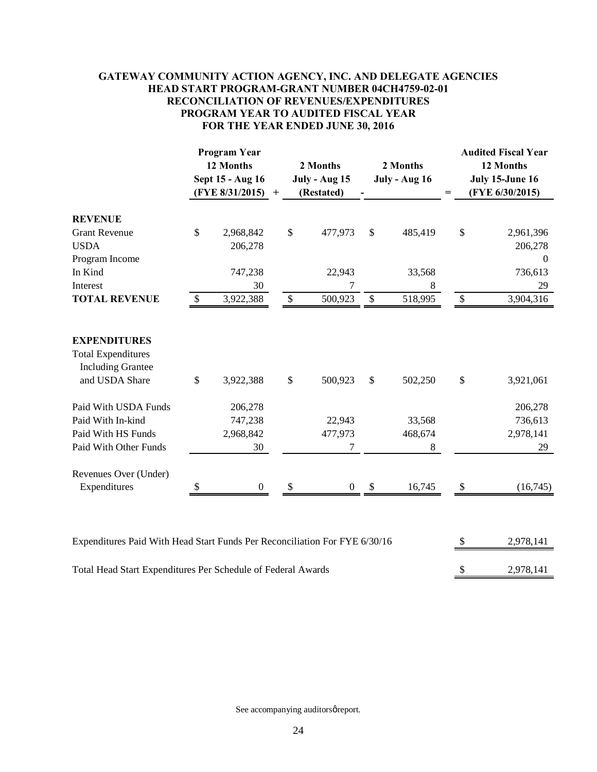### **GATEWAY COMMUNITY ACTION AGENCY, INC. AND DELEGATE AGENCIES HEAD START PROGRAM-GRANT NUMBER 04CH4759-02-01 RECONCILIATION OF REVENUES/EXPENDITURES PROGRAM YEAR TO AUDITED FISCAL YEAR FOR THE YEAR ENDED JUNE 30, 2016**

|                                                                                                | <b>Program Year</b><br>12 Months<br>Sept 15 - Aug 16<br>$(FYE 8/31/2015)$ + |                | 2 Months<br>July - Aug 15<br>(Restated) |                  | 2 Months<br>July - Aug 16 |         | <b>Audited Fiscal Year</b><br>12 Months<br><b>July 15-June 16</b><br>(FYE 6/30/2015)<br>$=$ |                  |
|------------------------------------------------------------------------------------------------|-----------------------------------------------------------------------------|----------------|-----------------------------------------|------------------|---------------------------|---------|---------------------------------------------------------------------------------------------|------------------|
| <b>REVENUE</b>                                                                                 |                                                                             |                |                                         |                  |                           |         |                                                                                             |                  |
| <b>Grant Revenue</b>                                                                           | \$                                                                          | 2,968,842      | \$                                      | 477,973          | $\mathcal{S}$             | 485,419 | \$                                                                                          | 2,961,396        |
| <b>USDA</b>                                                                                    |                                                                             | 206,278        |                                         |                  |                           |         |                                                                                             | 206,278          |
| Program Income                                                                                 |                                                                             |                |                                         |                  |                           |         |                                                                                             | $\boldsymbol{0}$ |
| In Kind                                                                                        |                                                                             | 747,238        |                                         | 22,943           |                           | 33,568  |                                                                                             | 736,613          |
| Interest                                                                                       |                                                                             | 30             |                                         | 7                |                           | 8       |                                                                                             | 29               |
| <b>TOTAL REVENUE</b>                                                                           | $\boldsymbol{\mathsf{S}}$                                                   | 3,922,388      | \$                                      | 500,923          | \$                        | 518,995 | \$                                                                                          | 3,904,316        |
| <b>EXPENDITURES</b><br><b>Total Expenditures</b><br><b>Including Grantee</b><br>and USDA Share | \$                                                                          | 3,922,388      | \$                                      | 500,923          | \$                        | 502,250 | \$                                                                                          | 3,921,061        |
| Paid With USDA Funds                                                                           |                                                                             | 206,278        |                                         |                  |                           |         |                                                                                             | 206,278          |
| Paid With In-kind                                                                              |                                                                             | 747,238        |                                         | 22,943           |                           | 33,568  |                                                                                             | 736,613          |
| Paid With HS Funds                                                                             |                                                                             | 2,968,842      |                                         | 477,973          |                           | 468,674 |                                                                                             | 2,978,141        |
| Paid With Other Funds                                                                          |                                                                             | 30             |                                         | 7                |                           | 8       |                                                                                             | 29               |
| Revenues Over (Under)<br>Expenditures                                                          |                                                                             | $\overline{0}$ | \$                                      | $\boldsymbol{0}$ | \$                        | 16,745  | \$                                                                                          | (16,745)         |

| Expenditures Paid With Head Start Funds Per Reconciliation For FYE 6/30/16 | 2,978,141 |
|----------------------------------------------------------------------------|-----------|
| Total Head Start Expenditures Per Schedule of Federal Awards               | 2.978.141 |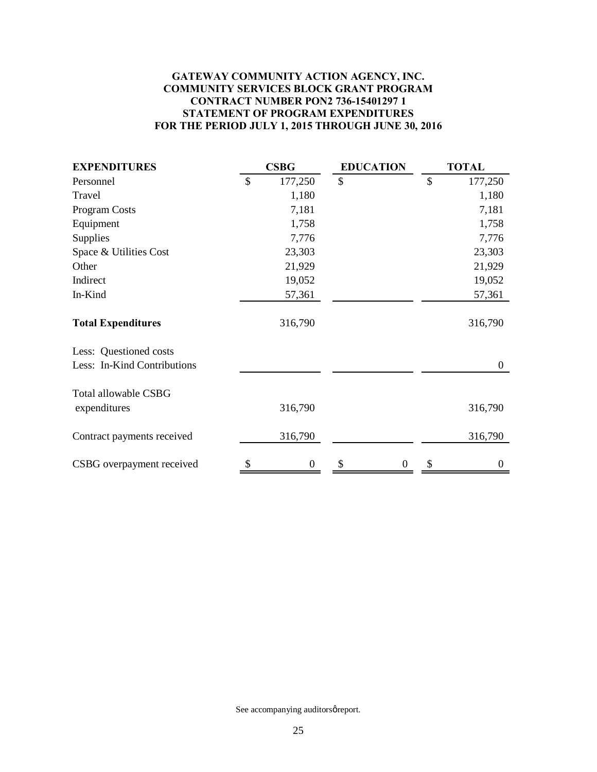### **GATEWAY COMMUNITY ACTION AGENCY, INC. COMMUNITY SERVICES BLOCK GRANT PROGRAM CONTRACT NUMBER PON2 736-15401297 1 STATEMENT OF PROGRAM EXPENDITURES FOR THE PERIOD JULY 1, 2015 THROUGH JUNE 30, 2016**

| <b>EXPENDITURES</b>                                   | <b>CSBG</b>              | <b>EDUCATION</b> | <b>TOTAL</b>             |
|-------------------------------------------------------|--------------------------|------------------|--------------------------|
| Personnel                                             | $\mathcal{S}$<br>177,250 | $\mathcal{S}$    | $\mathcal{S}$<br>177,250 |
| Travel                                                | 1,180                    |                  | 1,180                    |
| Program Costs                                         | 7,181                    |                  | 7,181                    |
| Equipment                                             | 1,758                    |                  | 1,758                    |
| Supplies                                              | 7,776                    |                  | 7,776                    |
| Space & Utilities Cost                                | 23,303                   |                  | 23,303                   |
| Other                                                 | 21,929                   |                  | 21,929                   |
| Indirect                                              | 19,052                   |                  | 19,052                   |
| In-Kind                                               | 57,361                   |                  | 57,361                   |
| <b>Total Expenditures</b>                             | 316,790                  |                  | 316,790                  |
| Less: Questioned costs<br>Less: In-Kind Contributions |                          |                  | $\boldsymbol{0}$         |
| Total allowable CSBG<br>expenditures                  | 316,790                  |                  | 316,790                  |
| Contract payments received                            | 316,790                  |                  | 316,790                  |
| CSBG overpayment received                             | \$<br>$\Omega$           | 0                | 0                        |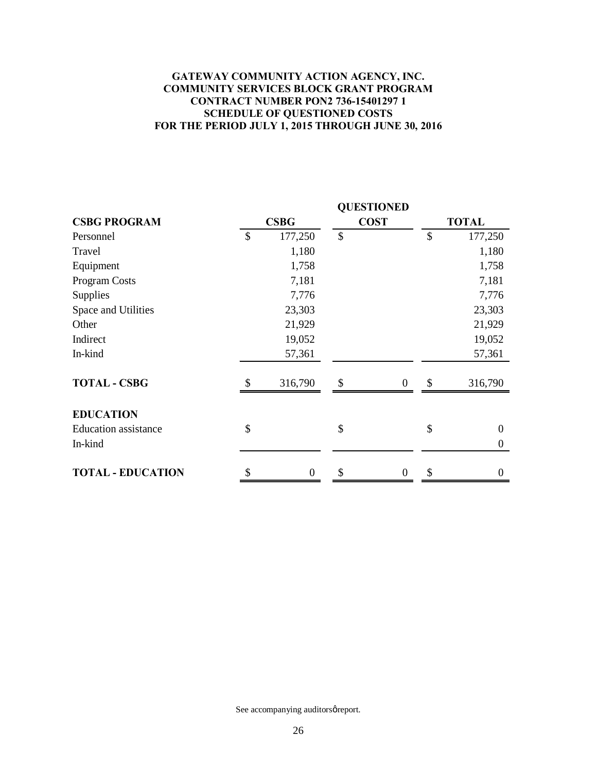### **GATEWAY COMMUNITY ACTION AGENCY, INC. COMMUNITY SERVICES BLOCK GRANT PROGRAM CONTRACT NUMBER PON2 736-15401297 1 SCHEDULE OF QUESTIONED COSTS FOR THE PERIOD JULY 1, 2015 THROUGH JUNE 30, 2016**

|                             |                           |                  |    | <b>QUESTIONED</b> |    |                  |
|-----------------------------|---------------------------|------------------|----|-------------------|----|------------------|
| <b>CSBG PROGRAM</b>         |                           | <b>CSBG</b>      |    | <b>COST</b>       |    | <b>TOTAL</b>     |
| Personnel                   | $\boldsymbol{\mathsf{S}}$ | 177,250          | \$ |                   | \$ | 177,250          |
| Travel                      |                           | 1,180            |    |                   |    | 1,180            |
| Equipment                   |                           | 1,758            |    |                   |    | 1,758            |
| Program Costs               |                           | 7,181            |    |                   |    | 7,181            |
| Supplies                    |                           | 7,776            |    |                   |    | 7,776            |
| Space and Utilities         |                           | 23,303           |    |                   |    | 23,303           |
| Other                       |                           | 21,929           |    |                   |    | 21,929           |
| Indirect                    |                           | 19,052           |    |                   |    | 19,052           |
| In-kind                     |                           | 57,361           |    |                   |    | 57,361           |
| <b>TOTAL - CSBG</b>         |                           | 316,790          | S  | $\Omega$          | S  | 316,790          |
| <b>EDUCATION</b>            |                           |                  |    |                   |    |                  |
| <b>Education</b> assistance | $\mathcal{S}$             |                  | \$ |                   | \$ | $\overline{0}$   |
| In-kind                     |                           |                  |    |                   |    | $\boldsymbol{0}$ |
| <b>TOTAL - EDUCATION</b>    | \$                        | $\boldsymbol{0}$ | \$ | $\boldsymbol{0}$  | \$ | 0                |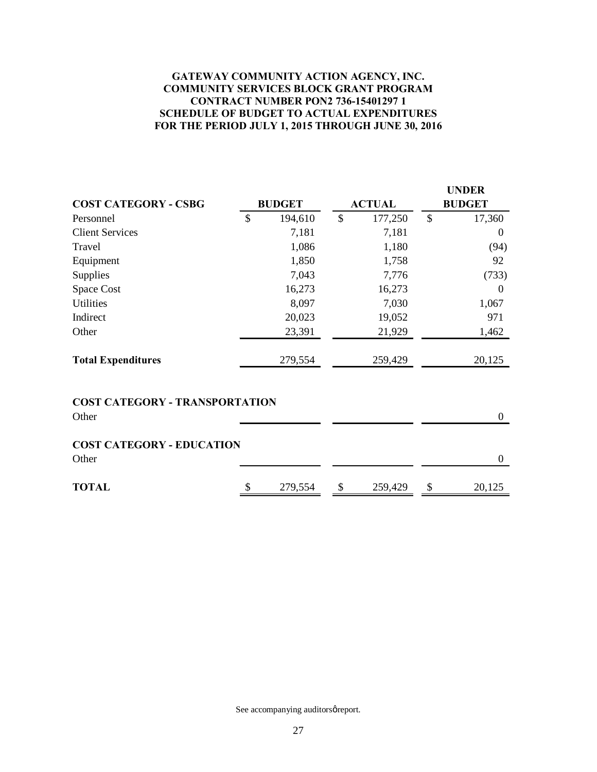### **GATEWAY COMMUNITY ACTION AGENCY, INC. COMMUNITY SERVICES BLOCK GRANT PROGRAM CONTRACT NUMBER PON2 736-15401297 1 SCHEDULE OF BUDGET TO ACTUAL EXPENDITURES FOR THE PERIOD JULY 1, 2015 THROUGH JUNE 30, 2016**

| <b>COST CATEGORY - CSBG</b>                    |               | <b>BUDGET</b> |                           | <b>ACTUAL</b> |               | <b>UNDER</b><br><b>BUDGET</b> |
|------------------------------------------------|---------------|---------------|---------------------------|---------------|---------------|-------------------------------|
| Personnel                                      | $\mathcal{S}$ | 194,610       | $\boldsymbol{\mathsf{S}}$ | 177,250       | $\mathcal{S}$ | 17,360                        |
| <b>Client Services</b>                         |               | 7,181         |                           | 7,181         |               | $\overline{0}$                |
| Travel                                         |               | 1,086         |                           | 1,180         |               | (94)                          |
| Equipment                                      |               | 1,850         |                           | 1,758         |               | 92                            |
| Supplies                                       |               | 7,043         |                           | 7,776         |               | (733)                         |
| Space Cost                                     |               | 16,273        |                           | 16,273        |               | $\Omega$                      |
| <b>Utilities</b>                               |               | 8,097         |                           | 7,030         |               | 1,067                         |
| Indirect                                       |               | 20,023        |                           | 19,052        |               | 971                           |
| Other                                          |               | 23,391        |                           | 21,929        |               | 1,462                         |
| <b>Total Expenditures</b>                      |               | 279,554       |                           | 259,429       |               | 20,125                        |
| <b>COST CATEGORY - TRANSPORTATION</b><br>Other |               |               |                           |               |               | $\boldsymbol{0}$              |
| <b>COST CATEGORY - EDUCATION</b><br>Other      |               |               |                           |               |               | $\overline{0}$                |
| <b>TOTAL</b>                                   | \$            | 279,554       | \$                        | 259,429       | \$            | 20,125                        |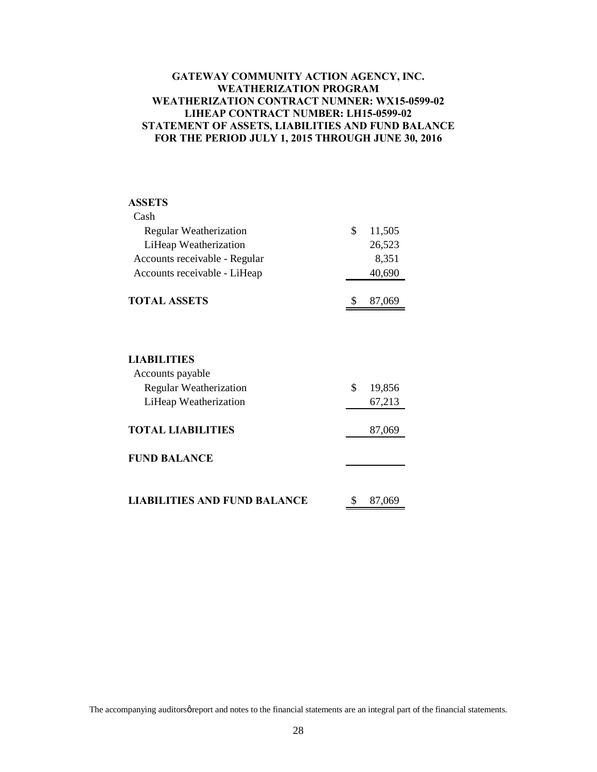### **GATEWAY COMMUNITY ACTION AGENCY, INC. WEATHERIZATION PROGRAM WEATHERIZATION CONTRACT NUMNER: WX15-0599-02 LIHEAP CONTRACT NUMBER: LH15-0599-02 STATEMENT OF ASSETS, LIABILITIES AND FUND BALANCE FOR THE PERIOD JULY 1, 2015 THROUGH JUNE 30, 2016**

#### **ASSETS**

| Cash                          |   |        |
|-------------------------------|---|--------|
| Regular Weatherization        | S | 11,505 |
| LiHeap Weatherization         |   | 26,523 |
| Accounts receivable - Regular |   | 8,351  |
| Accounts receivable - LiHeap  |   | 40,690 |
| <b>TOTAL ASSETS</b>           |   | 87.069 |

### **LIABILITIES**

| Accounts payable             |   |        |
|------------------------------|---|--------|
| Regular Weatherization       | S | 19,856 |
| LiHeap Weatherization        |   | 67,213 |
|                              |   |        |
| <b>TOTAL LIABILITIES</b>     |   | 87,069 |
|                              |   |        |
| <b>FUND BALANCE</b>          |   |        |
|                              |   |        |
|                              |   |        |
| LIABILITIES AND FUND BALANCE |   | 87,069 |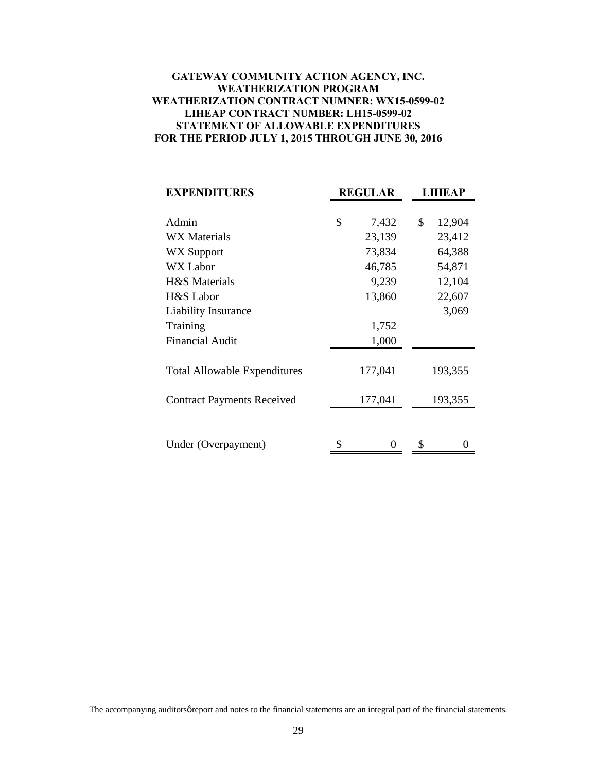### **GATEWAY COMMUNITY ACTION AGENCY, INC. WEATHERIZATION PROGRAM WEATHERIZATION CONTRACT NUMNER: WX15-0599-02 LIHEAP CONTRACT NUMBER: LH15-0599-02 STATEMENT OF ALLOWABLE EXPENDITURES FOR THE PERIOD JULY 1, 2015 THROUGH JUNE 30, 2016**

| <b>EXPENDITURES</b>                 | <b>REGULAR</b> | LIHEAP       |
|-------------------------------------|----------------|--------------|
|                                     |                |              |
| Admin                               | \$<br>7,432    | \$<br>12,904 |
| WX Materials                        | 23,139         | 23,412       |
| <b>WX Support</b>                   | 73,834         | 64,388       |
| <b>WX Labor</b>                     | 46,785         | 54,871       |
| H&S Materials                       | 9,239          | 12,104       |
| H&S Labor                           | 13,860         | 22,607       |
| Liability Insurance                 |                | 3,069        |
| Training                            | 1,752          |              |
| <b>Financial Audit</b>              | 1,000          |              |
| <b>Total Allowable Expenditures</b> | 177,041        | 193,355      |
| <b>Contract Payments Received</b>   | 177,041        | 193,355      |
| Under (Overpayment)                 | S<br>0         | S            |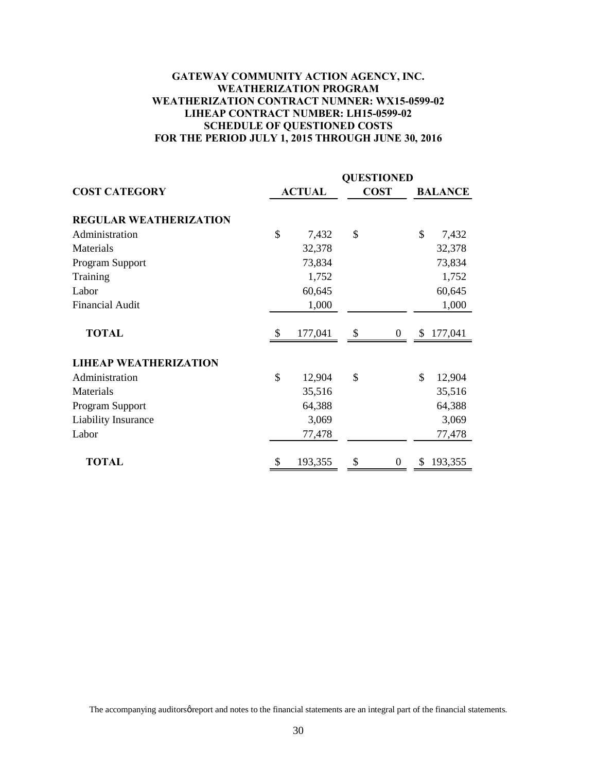### **GATEWAY COMMUNITY ACTION AGENCY, INC. WEATHERIZATION PROGRAM WEATHERIZATION CONTRACT NUMNER: WX15-0599-02 LIHEAP CONTRACT NUMBER: LH15-0599-02 SCHEDULE OF QUESTIONED COSTS FOR THE PERIOD JULY 1, 2015 THROUGH JUNE 30, 2016**

|                               |               |               | <b>QUESTIONED</b> |          |                |
|-------------------------------|---------------|---------------|-------------------|----------|----------------|
| <b>COST CATEGORY</b>          |               | <b>ACTUAL</b> |                   |          | <b>BALANCE</b> |
| <b>REGULAR WEATHERIZATION</b> |               |               |                   |          |                |
| Administration                | \$            | 7,432         | $\mathcal{S}$     |          | \$<br>7,432    |
| Materials                     |               | 32,378        |                   |          | 32,378         |
| Program Support               |               | 73,834        |                   |          | 73,834         |
| Training                      |               | 1,752         |                   |          | 1,752          |
| Labor                         |               | 60,645        |                   |          | 60,645         |
| <b>Financial Audit</b>        |               | 1,000         |                   |          | 1,000          |
| <b>TOTAL</b>                  |               | 177,041       | \$                | $\theta$ | 177,041<br>\$  |
| <b>LIHEAP WEATHERIZATION</b>  |               |               |                   |          |                |
| Administration                | $\mathcal{S}$ | 12,904        | $\mathcal{S}$     |          | \$<br>12,904   |
| Materials                     |               | 35,516        |                   |          | 35,516         |
| Program Support               |               | 64,388        |                   |          | 64,388         |
| <b>Liability Insurance</b>    |               | 3,069         |                   |          | 3,069          |
| Labor                         |               | 77,478        |                   |          | 77,478         |
| <b>TOTAL</b>                  | S             | 193,355       | \$                | $\theta$ | 193,355<br>\$  |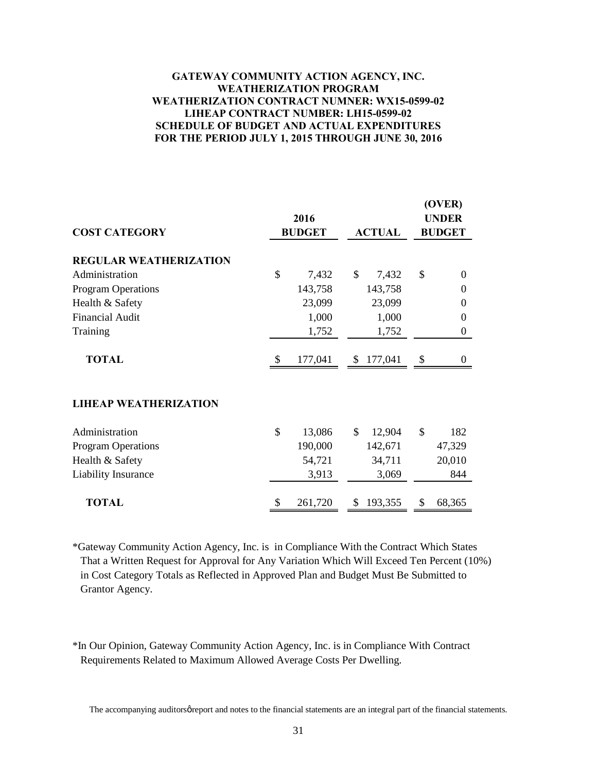### **GATEWAY COMMUNITY ACTION AGENCY, INC. WEATHERIZATION PROGRAM WEATHERIZATION CONTRACT NUMNER: WX15-0599-02 LIHEAP CONTRACT NUMBER: LH15-0599-02 SCHEDULE OF BUDGET AND ACTUAL EXPENDITURES FOR THE PERIOD JULY 1, 2015 THROUGH JUNE 30, 2016**

**(OVER)**

| <b>COST CATEGORY</b>          | 2016<br><b>BUDGET</b> |         | <b>ACTUAL</b> |           | (OVER)<br><b>UNDER</b><br><b>BUDGET</b> |                  |
|-------------------------------|-----------------------|---------|---------------|-----------|-----------------------------------------|------------------|
| <b>REGULAR WEATHERIZATION</b> |                       |         |               |           |                                         |                  |
| Administration                | \$                    | 7,432   | \$            | 7,432     | \$                                      | $\Omega$         |
| <b>Program Operations</b>     |                       | 143,758 |               | 143,758   |                                         | $\theta$         |
| Health & Safety               |                       | 23,099  |               | 23,099    |                                         | $\theta$         |
| <b>Financial Audit</b>        |                       | 1,000   |               | 1,000     |                                         | $\boldsymbol{0}$ |
| Training                      |                       | 1,752   |               | 1,752     |                                         | $\boldsymbol{0}$ |
| <b>TOTAL</b>                  | \$                    | 177,041 |               | \$177,041 | \$                                      | 0                |
| <b>LIHEAP WEATHERIZATION</b>  |                       |         |               |           |                                         |                  |
| Administration                | \$                    | 13,086  | \$            | 12,904    | \$                                      | 182              |
| Program Operations            |                       | 190,000 |               | 142,671   |                                         | 47,329           |
| Health & Safety               |                       | 54,721  |               | 34,711    |                                         | 20,010           |
| <b>Liability Insurance</b>    |                       | 3,913   |               | 3,069     |                                         | 844              |
| <b>TOTAL</b>                  | \$                    | 261,720 | \$            | 193,355   | \$                                      | 68,365           |

\*Gateway Community Action Agency, Inc. is in Compliance With the Contract Which States That a Written Request for Approval for Any Variation Which Will Exceed Ten Percent (10%) in Cost Category Totals as Reflected in Approved Plan and Budget Must Be Submitted to Grantor Agency.

\*In Our Opinion, Gateway Community Action Agency, Inc. is in Compliance With Contract Requirements Related to Maximum Allowed Average Costs Per Dwelling.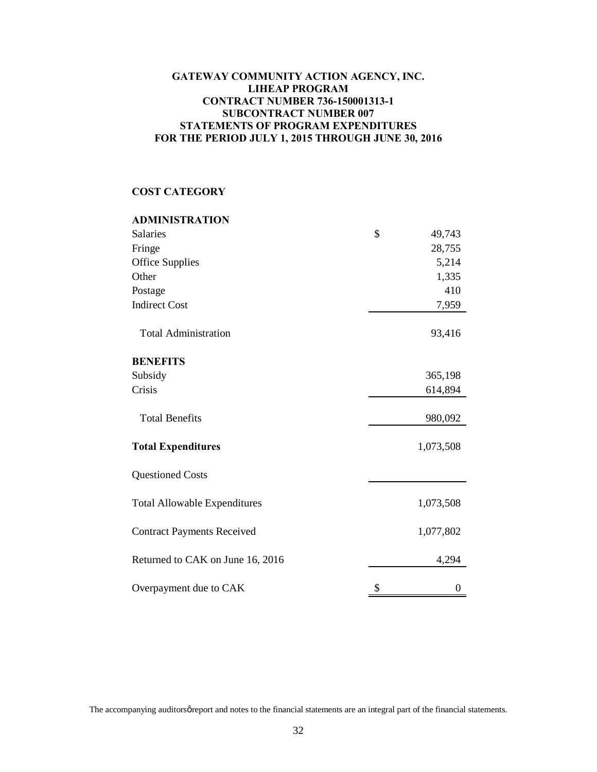### **GATEWAY COMMUNITY ACTION AGENCY, INC. LIHEAP PROGRAM CONTRACT NUMBER 736-150001313-1 SUBCONTRACT NUMBER 007 STATEMENTS OF PROGRAM EXPENDITURES FOR THE PERIOD JULY 1, 2015 THROUGH JUNE 30, 2016**

### **COST CATEGORY**

| <b>ADMINISTRATION</b>               |                        |
|-------------------------------------|------------------------|
| <b>Salaries</b>                     | \$<br>49,743           |
| Fringe                              | 28,755                 |
| <b>Office Supplies</b>              | 5,214                  |
| Other                               | 1,335                  |
| Postage                             | 410                    |
| <b>Indirect Cost</b>                | 7,959                  |
| <b>Total Administration</b>         | 93,416                 |
| <b>BENEFITS</b>                     |                        |
| Subsidy                             | 365,198                |
| Crisis                              | 614,894                |
| <b>Total Benefits</b>               | 980,092                |
| <b>Total Expenditures</b>           | 1,073,508              |
| <b>Questioned Costs</b>             |                        |
| <b>Total Allowable Expenditures</b> | 1,073,508              |
| <b>Contract Payments Received</b>   | 1,077,802              |
| Returned to CAK on June 16, 2016    | 4,294                  |
| Overpayment due to CAK              | \$<br>$\boldsymbol{0}$ |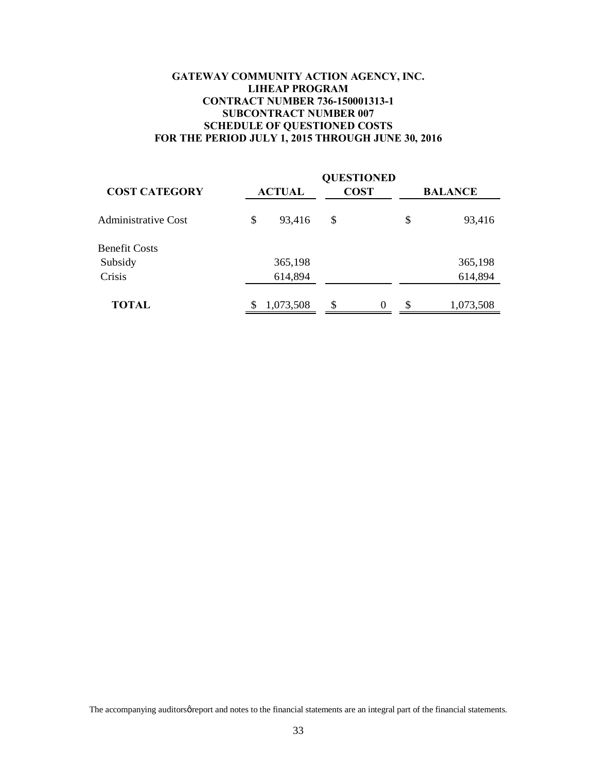### **GATEWAY COMMUNITY ACTION AGENCY, INC. LIHEAP PROGRAM CONTRACT NUMBER 736-150001313-1 SUBCONTRACT NUMBER 007 SCHEDULE OF QUESTIONED COSTS FOR THE PERIOD JULY 1, 2015 THROUGH JUNE 30, 2016**

| <b>COST CATEGORY</b> |               | <b>QUESTIONED</b> |   |                 |
|----------------------|---------------|-------------------|---|-----------------|
|                      | <b>ACTUAL</b> | <b>COST</b>       |   | <b>BALANCE</b>  |
| Administrative Cost  | \$<br>93,416  | \$                |   | \$<br>93,416    |
| Benefit Costs        |               |                   |   |                 |
| Subsidy              | 365,198       |                   |   | 365,198         |
| Crisis               | 614,894       |                   |   | 614,894         |
| <b>TOTAL</b>         | 1,073,508     | \$                | 0 | \$<br>1,073,508 |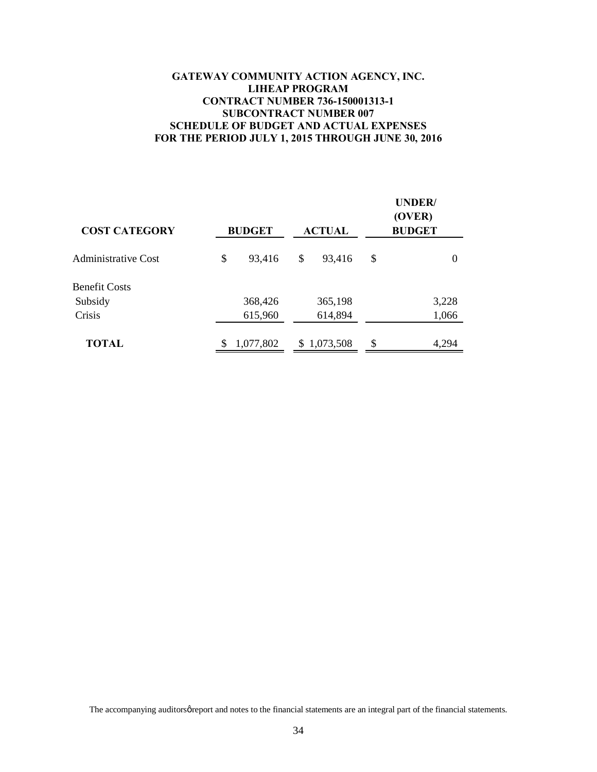### **GATEWAY COMMUNITY ACTION AGENCY, INC. LIHEAP PROGRAM CONTRACT NUMBER 736-150001313-1 SUBCONTRACT NUMBER 007 SCHEDULE OF BUDGET AND ACTUAL EXPENSES FOR THE PERIOD JULY 1, 2015 THROUGH JUNE 30, 2016**

| <b>COST CATEGORY</b>       | <b>BUDGET</b>   | <b>ACTUAL</b> | <b>UNDER/</b><br>(OVER)<br><b>BUDGET</b> |
|----------------------------|-----------------|---------------|------------------------------------------|
| <b>Administrative Cost</b> | \$<br>93,416    | \$<br>93,416  | \$<br>$\Omega$                           |
| <b>Benefit Costs</b>       |                 |               |                                          |
| Subsidy                    | 368,426         | 365,198       | 3,228                                    |
| Crisis                     | 615,960         | 614,894       | 1,066                                    |
| <b>TOTAL</b>               | \$<br>1,077,802 | \$1,073,508   | \$<br>4,294                              |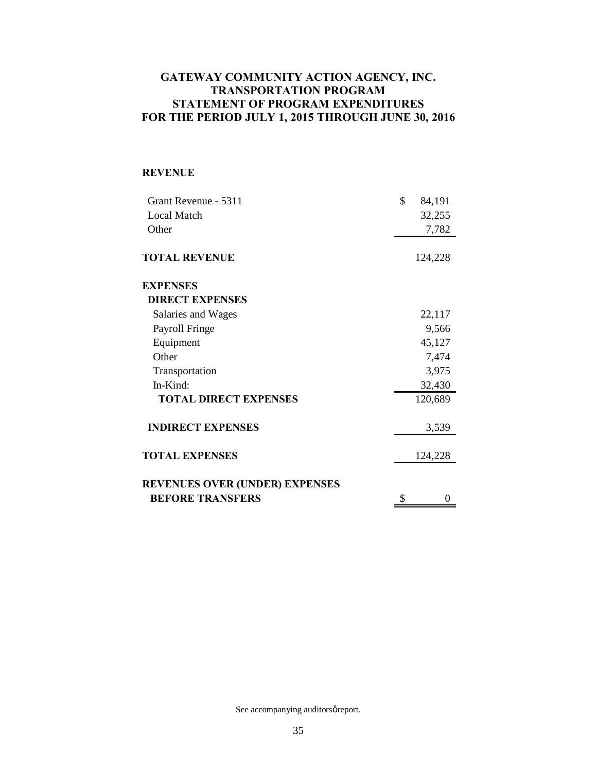### **GATEWAY COMMUNITY ACTION AGENCY, INC. TRANSPORTATION PROGRAM STATEMENT OF PROGRAM EXPENDITURES FOR THE PERIOD JULY 1, 2015 THROUGH JUNE 30, 2016**

### **REVENUE**

| Grant Revenue - 5311                  | \$<br>84,191 |
|---------------------------------------|--------------|
| <b>Local Match</b>                    | 32,255       |
| Other                                 | 7,782        |
| <b>TOTAL REVENUE</b>                  | 124,228      |
| <b>EXPENSES</b>                       |              |
| <b>DIRECT EXPENSES</b>                |              |
| Salaries and Wages                    | 22,117       |
| Payroll Fringe                        | 9,566        |
| Equipment                             | 45,127       |
| Other                                 | 7,474        |
| Transportation                        | 3,975        |
| In-Kind:                              | 32,430       |
| <b>TOTAL DIRECT EXPENSES</b>          | 120,689      |
| <b>INDIRECT EXPENSES</b>              | 3,539        |
| <b>TOTAL EXPENSES</b>                 | 124,228      |
| <b>REVENUES OVER (UNDER) EXPENSES</b> |              |
| <b>BEFORE TRANSFERS</b>               | \$<br>0      |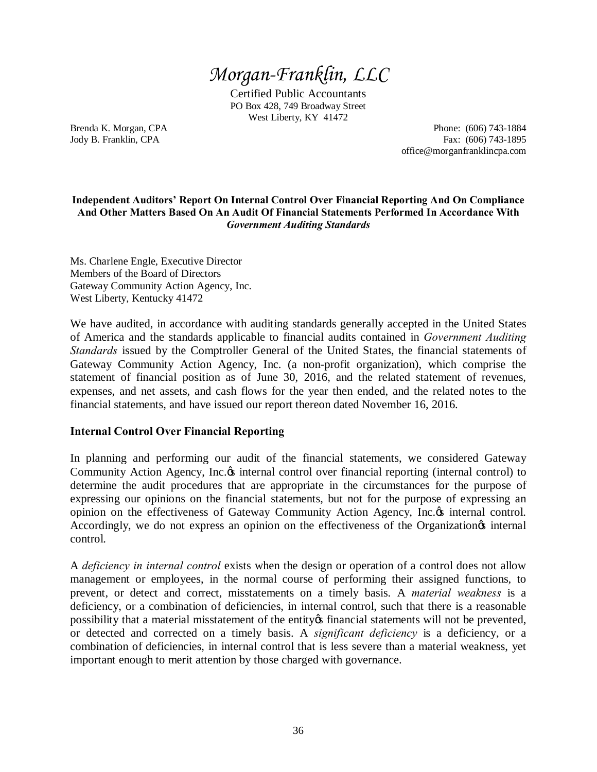# *Morgan-Franklin, LLC*

Certified Public Accountants PO Box 428, 749 Broadway Street West Liberty, KY 41472

Brenda K. Morgan, CPA **Phone:** (606) 743-1884 Jody B. Franklin, CPA Fax: (606) 743-1895 office@morganfranklincpa.com

### **Independent Auditors' Report On Internal Control Over Financial Reporting And On Compliance And Other Matters Based On An Audit Of Financial Statements Performed In Accordance With**  *Government Auditing Standards*

Ms. Charlene Engle, Executive Director Members of the Board of Directors Gateway Community Action Agency, Inc. West Liberty, Kentucky 41472

We have audited, in accordance with auditing standards generally accepted in the United States of America and the standards applicable to financial audits contained in *Government Auditing Standards* issued by the Comptroller General of the United States, the financial statements of Gateway Community Action Agency, Inc. (a non-profit organization), which comprise the statement of financial position as of June 30, 2016, and the related statement of revenues, expenses, and net assets, and cash flows for the year then ended, and the related notes to the financial statements, and have issued our report thereon dated November 16, 2016.

### **Internal Control Over Financial Reporting**

In planning and performing our audit of the financial statements, we considered Gateway Community Action Agency, Inc. $\alpha$  internal control over financial reporting (internal control) to determine the audit procedures that are appropriate in the circumstances for the purpose of expressing our opinions on the financial statements, but not for the purpose of expressing an opinion on the effectiveness of Gateway Community Action Agency, Inc.'s internal control. Accordingly, we do not express an opinion on the effectiveness of the Organization  $\phi$  internal control.

A *deficiency in internal control* exists when the design or operation of a control does not allow management or employees, in the normal course of performing their assigned functions, to prevent, or detect and correct, misstatements on a timely basis. A *material weakness* is a deficiency, or a combination of deficiencies, in internal control, such that there is a reasonable possibility that a material misstatement of the entity of financial statements will not be prevented, or detected and corrected on a timely basis. A *significant deficiency* is a deficiency, or a combination of deficiencies, in internal control that is less severe than a material weakness, yet important enough to merit attention by those charged with governance.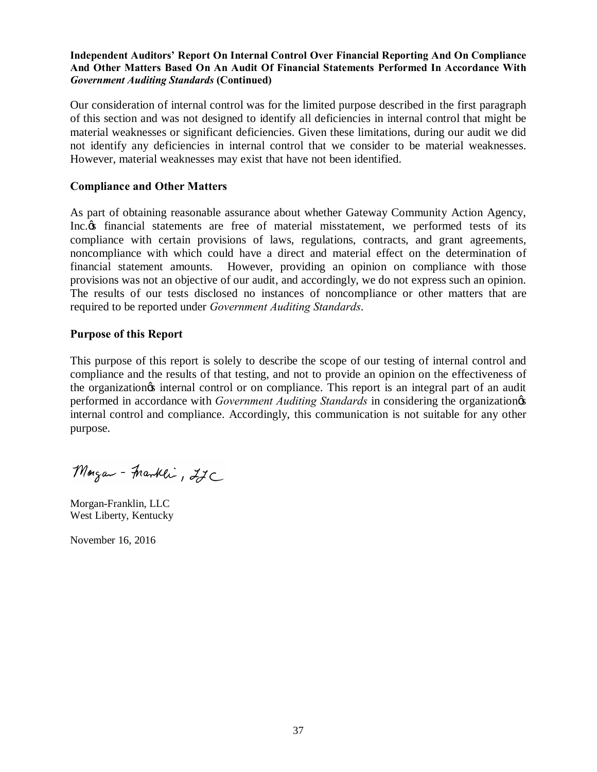### **Independent Auditors' Report On Internal Control Over Financial Reporting And On Compliance And Other Matters Based On An Audit Of Financial Statements Performed In Accordance With**  *Government Auditing Standards* **(Continued)**

Our consideration of internal control was for the limited purpose described in the first paragraph of this section and was not designed to identify all deficiencies in internal control that might be material weaknesses or significant deficiencies. Given these limitations, during our audit we did not identify any deficiencies in internal control that we consider to be material weaknesses. However, material weaknesses may exist that have not been identified.

### **Compliance and Other Matters**

As part of obtaining reasonable assurance about whether Gateway Community Action Agency, Inc.  $\&$  financial statements are free of material misstatement, we performed tests of its compliance with certain provisions of laws, regulations, contracts, and grant agreements, noncompliance with which could have a direct and material effect on the determination of financial statement amounts. However, providing an opinion on compliance with those provisions was not an objective of our audit, and accordingly, we do not express such an opinion. The results of our tests disclosed no instances of noncompliance or other matters that are required to be reported under *Government Auditing Standards*.

### **Purpose of this Report**

This purpose of this report is solely to describe the scope of our testing of internal control and compliance and the results of that testing, and not to provide an opinion on the effectiveness of the organization internal control or on compliance. This report is an integral part of an audit performed in accordance with *Government Auditing Standards* in considering the organization<sub>os</sub> internal control and compliance. Accordingly, this communication is not suitable for any other purpose.

Morgan - Frankli, 27C

Morgan-Franklin, LLC West Liberty, Kentucky

November 16, 2016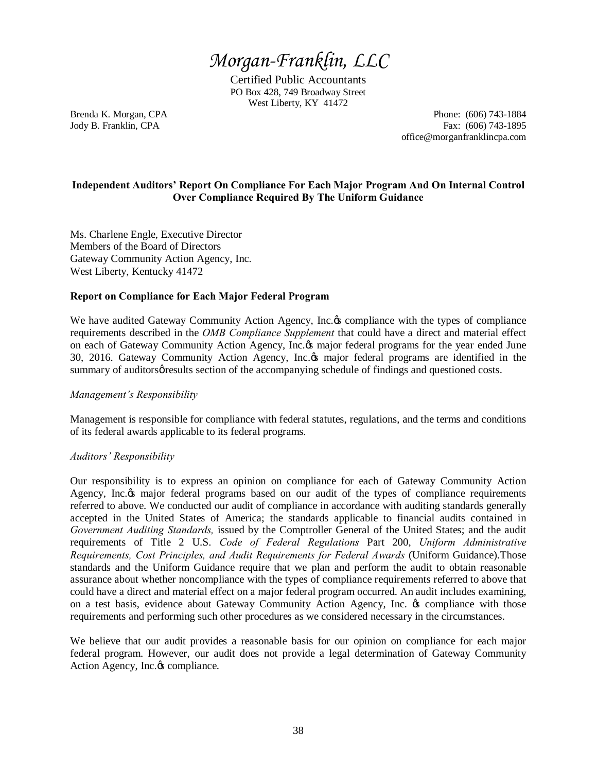*Morgan-Franklin, LLC*

Certified Public Accountants PO Box 428, 749 Broadway Street West Liberty, KY 41472

Brenda K. Morgan, CPA **Phone:** (606) 743-1884 Jody B. Franklin, CPA Fax: (606) 743-1895 office@morganfranklincpa.com

### **Independent Auditors' Report On Compliance For Each Major Program And On Internal Control Over Compliance Required By The Uniform Guidance**

Ms. Charlene Engle, Executive Director Members of the Board of Directors Gateway Community Action Agency, Inc. West Liberty, Kentucky 41472

### **Report on Compliance for Each Major Federal Program**

We have audited Gateway Community Action Agency, Inc.  $\alpha$  compliance with the types of compliance requirements described in the *OMB Compliance Supplement* that could have a direct and material effect on each of Gateway Community Action Agency, Inc.  $\alpha$  major federal programs for the year ended June 30, 2016. Gateway Community Action Agency, Inc.'s major federal programs are identified in the summary of auditors gresults section of the accompanying schedule of findings and questioned costs.

#### *Management's Responsibility*

Management is responsible for compliance with federal statutes, regulations, and the terms and conditions of its federal awards applicable to its federal programs.

#### *Auditors' Responsibility*

Our responsibility is to express an opinion on compliance for each of Gateway Community Action Agency, Inc. $\alpha$  major federal programs based on our audit of the types of compliance requirements referred to above. We conducted our audit of compliance in accordance with auditing standards generally accepted in the United States of America; the standards applicable to financial audits contained in *Government Auditing Standards,* issued by the Comptroller General of the United States; and the audit requirements of Title 2 U.S. *Code of Federal Regulations* Part 200, *Uniform Administrative Requirements, Cost Principles, and Audit Requirements for Federal Awards* (Uniform Guidance).Those standards and the Uniform Guidance require that we plan and perform the audit to obtain reasonable assurance about whether noncompliance with the types of compliance requirements referred to above that could have a direct and material effect on a major federal program occurred. An audit includes examining, on a test basis, evidence about Gateway Community Action Agency, Inc.  $\alpha$  compliance with those requirements and performing such other procedures as we considered necessary in the circumstances.

We believe that our audit provides a reasonable basis for our opinion on compliance for each major federal program. However, our audit does not provide a legal determination of Gateway Community Action Agency, Inc. & compliance.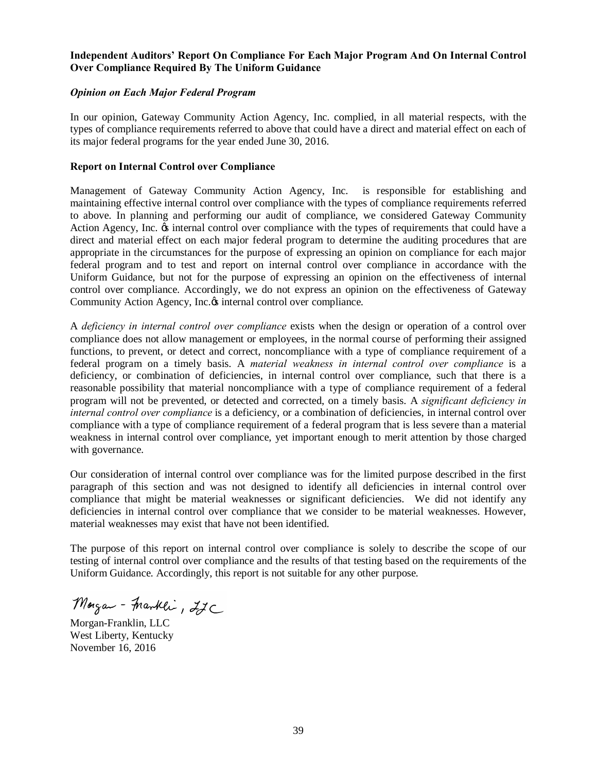### **Independent Auditors' Report On Compliance For Each Major Program And On Internal Control Over Compliance Required By The Uniform Guidance**

### *Opinion on Each Major Federal Program*

In our opinion, Gateway Community Action Agency, Inc. complied, in all material respects, with the types of compliance requirements referred to above that could have a direct and material effect on each of its major federal programs for the year ended June 30, 2016.

### **Report on Internal Control over Compliance**

Management of Gateway Community Action Agency, Inc. is responsible for establishing and maintaining effective internal control over compliance with the types of compliance requirements referred to above. In planning and performing our audit of compliance, we considered Gateway Community Action Agency, Inc.  $\alpha$  internal control over compliance with the types of requirements that could have a direct and material effect on each major federal program to determine the auditing procedures that are appropriate in the circumstances for the purpose of expressing an opinion on compliance for each major federal program and to test and report on internal control over compliance in accordance with the Uniform Guidance, but not for the purpose of expressing an opinion on the effectiveness of internal control over compliance. Accordingly, we do not express an opinion on the effectiveness of Gateway Community Action Agency, Inc. $\alpha$  internal control over compliance.

A *deficiency in internal control over compliance* exists when the design or operation of a control over compliance does not allow management or employees, in the normal course of performing their assigned functions, to prevent, or detect and correct, noncompliance with a type of compliance requirement of a federal program on a timely basis. A *material weakness in internal control over compliance* is a deficiency, or combination of deficiencies, in internal control over compliance, such that there is a reasonable possibility that material noncompliance with a type of compliance requirement of a federal program will not be prevented, or detected and corrected, on a timely basis. A *significant deficiency in internal control over compliance* is a deficiency, or a combination of deficiencies, in internal control over compliance with a type of compliance requirement of a federal program that is less severe than a material weakness in internal control over compliance, yet important enough to merit attention by those charged with governance.

Our consideration of internal control over compliance was for the limited purpose described in the first paragraph of this section and was not designed to identify all deficiencies in internal control over compliance that might be material weaknesses or significant deficiencies. We did not identify any deficiencies in internal control over compliance that we consider to be material weaknesses. However, material weaknesses may exist that have not been identified.

The purpose of this report on internal control over compliance is solely to describe the scope of our testing of internal control over compliance and the results of that testing based on the requirements of the Uniform Guidance. Accordingly, this report is not suitable for any other purpose.

Morgan - Frankli, ILC

Morgan-Franklin, LLC West Liberty, Kentucky November 16, 2016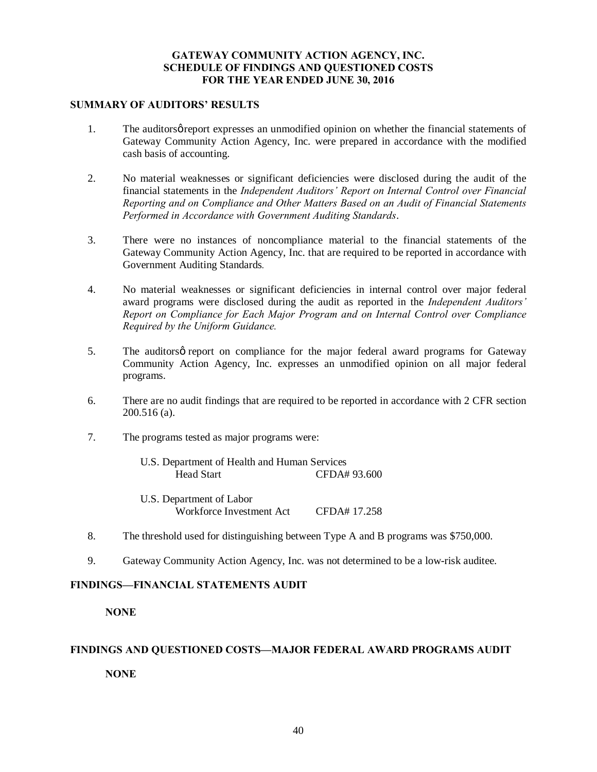### **GATEWAY COMMUNITY ACTION AGENCY, INC. SCHEDULE OF FINDINGS AND QUESTIONED COSTS FOR THE YEAR ENDED JUNE 30, 2016**

### **SUMMARY OF AUDITORS' RESULTS**

- 1. The auditorsø report expresses an unmodified opinion on whether the financial statements of Gateway Community Action Agency, Inc. were prepared in accordance with the modified cash basis of accounting.
- 2. No material weaknesses or significant deficiencies were disclosed during the audit of the financial statements in the *Independent Auditors' Report on Internal Control over Financial Reporting and on Compliance and Other Matters Based on an Audit of Financial Statements Performed in Accordance with Government Auditing Standards*.
- 3. There were no instances of noncompliance material to the financial statements of the Gateway Community Action Agency, Inc. that are required to be reported in accordance with Government Auditing Standards*.*
- 4. No material weaknesses or significant deficiencies in internal control over major federal award programs were disclosed during the audit as reported in the *Independent Auditors' Report on Compliance for Each Major Program and on Internal Control over Compliance Required by the Uniform Guidance.*
- 5. The auditors of report on compliance for the major federal award programs for Gateway Community Action Agency, Inc. expresses an unmodified opinion on all major federal programs.
- 6. There are no audit findings that are required to be reported in accordance with 2 CFR section 200.516 (a).
- 7. The programs tested as major programs were:

| U.S. Department of Health and Human Services |              |
|----------------------------------------------|--------------|
| <b>Head Start</b>                            | CFDA# 93.600 |

- U.S. Department of Labor Workforce Investment Act CFDA# 17.258
- 8. The threshold used for distinguishing between Type A and B programs was \$750,000.
- 9. Gateway Community Action Agency, Inc. was not determined to be a low-risk auditee.

### **FINDINGS—FINANCIAL STATEMENTS AUDIT**

### **NONE**

### **FINDINGS AND QUESTIONED COSTS—MAJOR FEDERAL AWARD PROGRAMS AUDIT**

**NONE**